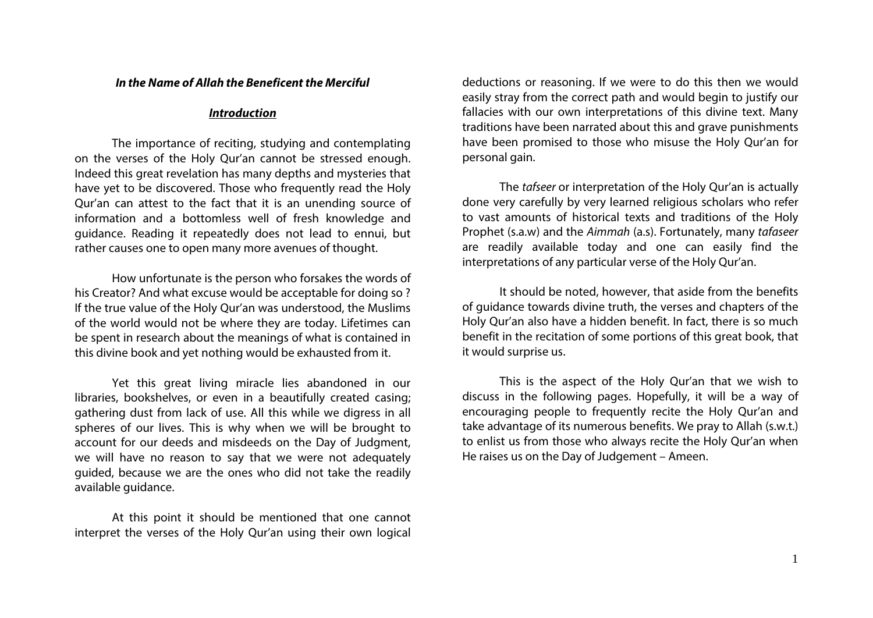## *In the Name of Allah the Beneficent the Merciful*

## *Introduction*

The importance of reciting, studying and contemplating on the verses of the Holy Qur'an cannot be stressed enough. Indeed this great revelation has many depths and mysteries that have yet to be discovered. Those who frequently read the Holy Qur'an can attest to the fact that it is an unending source of information and a bottomless well of fresh knowledge and guidance. Reading it repeatedly does not lead to ennui, but rather causes one to open many more avenues of thought.

How unfortunate is the person who forsakes the words of his Creator? And what excuse would be acceptable for doing so ? If the true value of the Holy Qur'an was understood, the Muslims of the world would not be where they are today. Lifetimes can be spent in research about the meanings of what is contained in this divine book and yet nothing would be exhausted from it.

Yet this great living miracle lies abandoned in our libraries, bookshelves, or even in a beautifully created casing; gathering dust from lack of use. All this while we digress in all spheres of our lives. This is why when we will be brought to account for our deeds and misdeeds on the Day of Judgment, we will have no reason to say that we were not adequately guided, because we are the ones who did not take the readily available guidance.

At this point it should be mentioned that one cannot interpret the verses of the Holy Qur'an using their own logical deductions or reasoning. If we were to do this then we would easily stray from the correct path and would begin to justify our fallacies with our own interpretations of this divine text. Many traditions have been narrated about this and grave punishments have been promised to those who misuse the Holy Qur'an for personal gain.

The *tafseer* or interpretation of the Holy Qur'an is actually done very carefully by very learned religious scholars who refer to vast amounts of historical texts and traditions of the Holy Prophet (s.a.w) and the *Aimmah* (a.s). Fortunately, many *tafaseer* are readily available today and one can easily find the interpretations of any particular verse of the Holy Qur'an.

It should be noted, however, that aside from the benefits of guidance towards divine truth, the verses and chapters of the Holy Qur'an also have a hidden benefit. In fact, there is so much benefit in the recitation of some portions of this great book, that it would surprise us.

This is the aspect of the Holy Qur'an that we wish to discuss in the following pages. Hopefully, it will be a way of encouraging people to frequently recite the Holy Qur'an and take advantage of its numerous benefits. We pray to Allah (s.w.t.) to enlist us from those who always recite the Holy Qur'an when He raises us on the Day of Judgement – Ameen.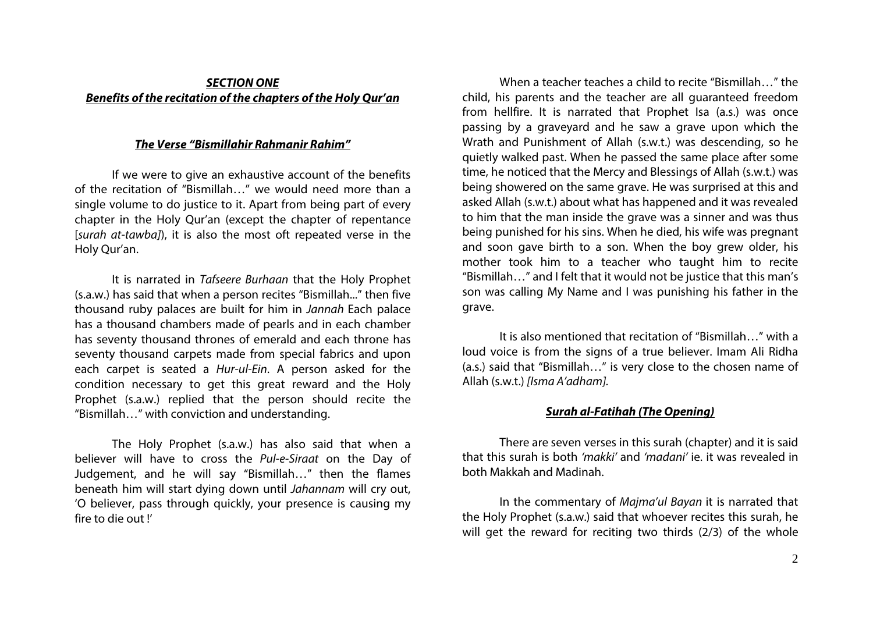# *SECTION ONE Benefits of the recitation of the chapters of the Holy Qur'an*

# *The Verse "Bismillahir Rahmanir Rahim"*

If we were to give an exhaustive account of the benefits of the recitation of "Bismillah…" we would need more than a single volume to do justice to it. Apart from being part of every chapter in the Holy Qur'an (except the chapter of repentance [*surah at-tawba]*), it is also the most oft repeated verse in the Holy Qur'an.

It is narrated in *Tafseere Burhaan* that the Holy Prophet (s.a.w.) has said that when a person recites "Bismillah..." then five thousand ruby palaces are built for him in *Jannah* Each palace has a thousand chambers made of pearls and in each chamber has seventy thousand thrones of emerald and each throne has seventy thousand carpets made from special fabrics and upon each carpet is seated a *Hur-ul-Ein*. A person asked for the condition necessary to get this great reward and the Holy Prophet (s.a.w.) replied that the person should recite the "Bismillah…" with conviction and understanding.

The Holy Prophet (s.a.w.) has also said that when a believer will have to cross the *Pul-e-Siraat* on the Day of Judgement, and he will say "Bismillah…" then the flames beneath him will start dying down until *Jahannam* will cry out, 'O believer, pass through quickly, your presence is causing my fire to die out !'

When a teacher teaches a child to recite "Bismillah…" the child, his parents and the teacher are all guaranteed freedom from hellfire. It is narrated that Prophet Isa (a.s.) was once passing by a graveyard and he saw a grave upon which the Wrath and Punishment of Allah (s.w.t.) was descending, so he quietly walked past. When he passed the same place after some time, he noticed that the Mercy and Blessings of Allah (s.w.t.) was being showered on the same grave. He was surprised at this and asked Allah (s.w.t.) about what has happened and it was revealed to him that the man inside the grave was a sinner and was thus being punished for his sins. When he died, his wife was pregnant and soon gave birth to a son. When the boy grew older, his mother took him to a teacher who taught him to recite "Bismillah…" and I felt that it would not be justice that this man's son was calling My Name and I was punishing his father in the grave.

It is also mentioned that recitation of "Bismillah…" with a loud voice is from the signs of a true believer. Imam Ali Ridha (a.s.) said that "Bismillah…" is very close to the chosen name of Allah (s.w.t.) *[Isma A'adham].*

## *Surah al-Fatihah (The Opening)*

There are seven verses in this surah (chapter) and it is said that this surah is both *'makki'* and *'madani'* ie. it was revealed in both Makkah and Madinah.

In the commentary of *Majma'ul Bayan* it is narrated that the Holy Prophet (s.a.w.) said that whoever recites this surah, he will get the reward for reciting two thirds (2/3) of the whole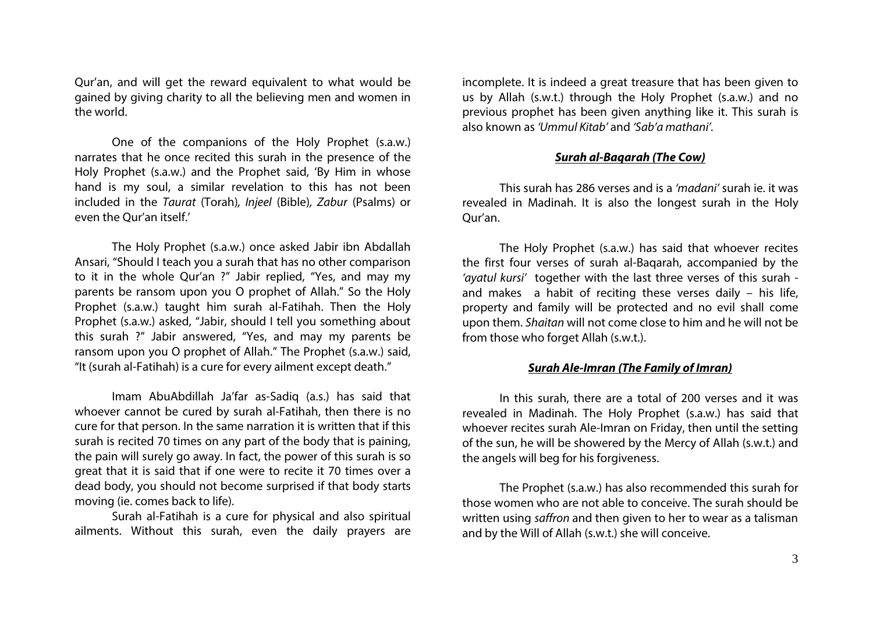Qur'an, and will get the reward equivalent to what would be gained by giving charity to all the believing men and women in the world.

One of the companions of the Holy Prophet (s.a.w.) narrates that he once recited this surah in the presence of the Holy Prophet (s.a.w.) and the Prophet said, 'By Him in whose hand is my soul, a similar revelation to this has not been included in the *Taurat* (Torah)*, Injeel* (Bible)*, Zabur* (Psalms) or even the Qur'an itself'

The Holy Prophet (s.a.w.) once asked Jabir ibn Abdallah Ansari, "Should I teach you a surah that has no other comparison to it in the whole Qur'an ?" Jabir replied, "Yes, and may my parents be ransom upon you O prophet of Allah." So the Holy Prophet (s.a.w.) taught him surah al-Fatihah. Then the Holy Prophet (s.a.w.) asked, "Jabir, should I tell you something about this surah ?" Jabir answered, "Yes, and may my parents be ransom upon you O prophet of Allah." The Prophet (s.a.w.) said, "It (surah al-Fatihah) is a cure for every ailment except death."

Imam AbuAbdillah Ja'far as-Sadiq (a.s.) has said that whoever cannot be cured by surah al-Fatihah, then there is no cure for that person. In the same narration it is written that if this surah is recited 70 times on any part of the body that is paining, the pain will surely go away. In fact, the power of this surah is so great that it is said that if one were to recite it 70 times over a dead body, you should not become surprised if that body starts moving (ie. comes back to life).

Surah al-Fatihah is a cure for physical and also spiritual ailments. Without this surah, even the daily prayers are incomplete. It is indeed a great treasure that has been given to us by Allah (s.w.t.) through the Holy Prophet (s.a.w.) and no previous prophet has been given anything like it. This surah is also known as *'Ummul Kitab'* and *'Sab'a mathani'.*

# *Surah al-Baqarah (The Cow)*

This surah has 286 verses and is a *'madani'* surah ie. it was revealed in Madinah. It is also the longest surah in the Holy Qur'an.

The Holy Prophet (s.a.w.) has said that whoever recites the first four verses of surah al-Baqarah, accompanied by the *'ayatul kursi'* together with the last three verses of this surah and makes a habit of reciting these verses daily – his life, property and family will be protected and no evil shall come upon them. *Shaitan* will not come close to him and he will not be from those who forget Allah (s.w.t.).

## *Surah Ale-Imran (The Family of Imran)*

In this surah, there are a total of 200 verses and it was revealed in Madinah. The Holy Prophet (s.a.w.) has said that whoever recites surah Ale-Imran on Friday, then until the setting of the sun, he will be showered by the Mercy of Allah (s.w.t.) and the angels will beg for his forgiveness.

The Prophet (s.a.w.) has also recommended this surah for those women who are not able to conceive. The surah should be written using *saffron* and then given to her to wear as a talisman and by the Will of Allah (s.w.t.) she will conceive.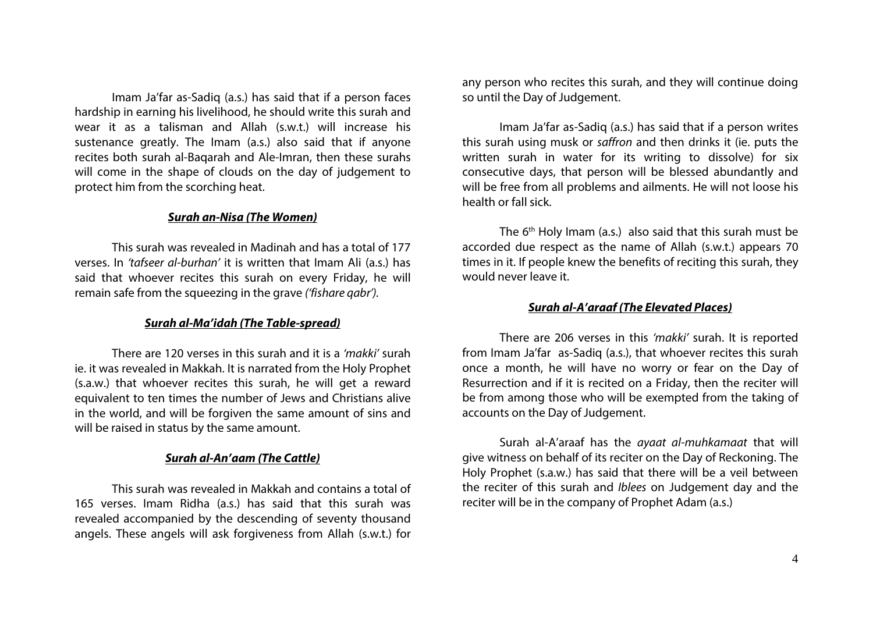Imam Ja'far as-Sadiq (a.s.) has said that if a person faces hardship in earning his livelihood, he should write this surah and wear it as a talisman and Allah (s.w.t.) will increase his sustenance greatly. The Imam (a.s.) also said that if anyone recites both surah al-Baqarah and Ale-Imran, then these surahs will come in the shape of clouds on the day of judgement to protect him from the scorching heat.

### *Surah an-Nisa (The Women)*

This surah was revealed in Madinah and has a total of 177 verses. In *'tafseer al-burhan'* it is written that Imam Ali (a.s.) has said that whoever recites this surah on every Friday, he will remain safe from the squeezing in the grave *('fishare qabr').*

## *Surah al-Ma'idah (The Table-spread)*

There are 120 verses in this surah and it is a *'makki'* surah ie. it was revealed in Makkah. It is narrated from the Holy Prophet (s.a.w.) that whoever recites this surah, he will get a reward equivalent to ten times the number of Jews and Christians alive in the world, and will be forgiven the same amount of sins and will be raised in status by the same amount.

## *Surah al-An'aam (The Cattle)*

This surah was revealed in Makkah and contains a total of 165 verses. Imam Ridha (a.s.) has said that this surah was revealed accompanied by the descending of seventy thousand angels. These angels will ask forgiveness from Allah (s.w.t.) for any person who recites this surah, and they will continue doing so until the Day of Judgement.

Imam Ja'far as-Sadiq (a.s.) has said that if a person writes this surah using musk or *saffron* and then drinks it (ie. puts the written surah in water for its writing to dissolve) for six consecutive days, that person will be blessed abundantly and will be free from all problems and ailments. He will not loose his health or fall sick.

The  $6<sup>th</sup>$  Holy Imam (a.s.) also said that this surah must be accorded due respect as the name of Allah (s.w.t.) appears 70 times in it. If people knew the benefits of reciting this surah, they would never leave it.

#### *Surah al-A'araaf (The Elevated Places)*

There are 206 verses in this *'makki'* surah. It is reported from Imam Ja'far as-Sadiq (a.s.), that whoever recites this surah once a month, he will have no worry or fear on the Day of Resurrection and if it is recited on a Friday, then the reciter will be from among those who will be exempted from the taking of accounts on the Day of Judgement.

Surah al-A'araaf has the *ayaat al-muhkamaat* that will give witness on behalf of its reciter on the Day of Reckoning. The Holy Prophet (s.a.w.) has said that there will be a veil between the reciter of this surah and *Iblees* on Judgement day and the reciter will be in the company of Prophet Adam (a.s.)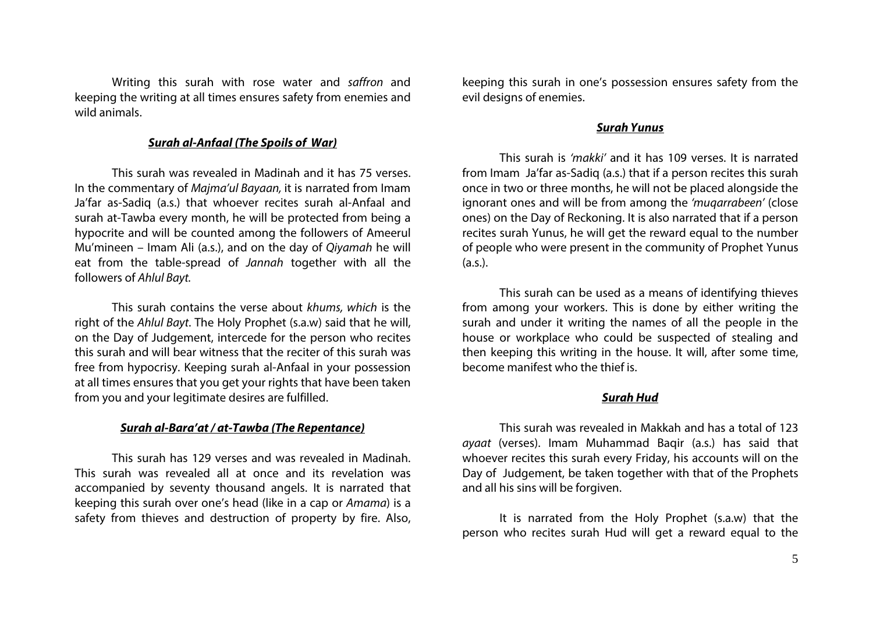Writing this surah with rose water and *saffron* and keeping the writing at all times ensures safety from enemies and wild animals.

### *Surah al-Anfaal (The Spoils of War)*

This surah was revealed in Madinah and it has 75 verses. In the commentary of *Majma'ul Bayaan,* it is narrated from Imam Ja'far as-Sadiq (a.s.) that whoever recites surah al-Anfaal and surah at-Tawba every month, he will be protected from being a hypocrite and will be counted among the followers of Ameerul Mu'mineen – Imam Ali (a.s.), and on the day of *Qiyamah* he will eat from the table-spread of *Jannah* together with all the followers of *Ahlul Bayt.*

This surah contains the verse about *khums, which* is the right of the *Ahlul Bayt*. The Holy Prophet (s.a.w) said that he will, on the Day of Judgement, intercede for the person who recites this surah and will bear witness that the reciter of this surah was free from hypocrisy. Keeping surah al-Anfaal in your possession at all times ensures that you get your rights that have been taken from you and your legitimate desires are fulfilled.

#### *Surah al-Bara'at / at-Tawba (The Repentance)*

This surah has 129 verses and was revealed in Madinah. This surah was revealed all at once and its revelation was accompanied by seventy thousand angels. It is narrated that keeping this surah over one's head (like in a cap or *Amama*) is a safety from thieves and destruction of property by fire. Also, keeping this surah in one's possession ensures safety from the evil designs of enemies.

#### *Surah Yunus*

This surah is *'makki'* and it has 109 verses. It is narrated from Imam Ja'far as-Sadiq (a.s.) that if a person recites this surah once in two or three months, he will not be placed alongside the ignorant ones and will be from among the *'muqarrabeen'* (close ones) on the Day of Reckoning. It is also narrated that if a person recites surah Yunus, he will get the reward equal to the number of people who were present in the community of Prophet Yunus  $(a.s.).$ 

This surah can be used as a means of identifying thieves from among your workers. This is done by either writing the surah and under it writing the names of all the people in the house or workplace who could be suspected of stealing and then keeping this writing in the house. It will, after some time, become manifest who the thief is.

#### *Surah Hud*

This surah was revealed in Makkah and has a total of 123 *ayaat* (verses). Imam Muhammad Baqir (a.s.) has said that whoever recites this surah every Friday, his accounts will on the Day of Judgement, be taken together with that of the Prophets and all his sins will be forgiven.

It is narrated from the Holy Prophet (s.a.w) that the person who recites surah Hud will get a reward equal to the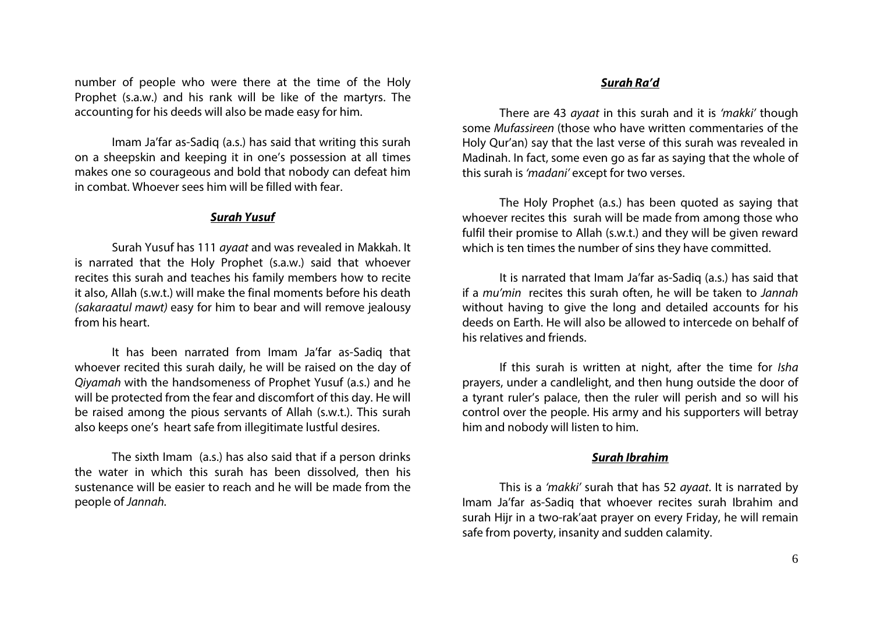number of people who were there at the time of the Holy Prophet (s.a.w.) and his rank will be like of the martyrs. The accounting for his deeds will also be made easy for him.

Imam Ja'far as-Sadiq (a.s.) has said that writing this surah on a sheepskin and keeping it in one's possession at all times makes one so courageous and bold that nobody can defeat him in combat. Whoever sees him will be filled with fear.

### *Surah Yusuf*

Surah Yusuf has 111 *ayaat* and was revealed in Makkah. It is narrated that the Holy Prophet (s.a.w.) said that whoever recites this surah and teaches his family members how to recite it also, Allah (s.w.t.) will make the final moments before his death *(sakaraatul mawt)* easy for him to bear and will remove jealousy from his heart.

It has been narrated from Imam Ja'far as-Sadiq that whoever recited this surah daily, he will be raised on the day of *Qiyamah* with the handsomeness of Prophet Yusuf (a.s.) and he will be protected from the fear and discomfort of this day. He will be raised among the pious servants of Allah (s.w.t.). This surah also keeps one's heart safe from illegitimate lustful desires.

The sixth Imam (a.s.) has also said that if a person drinks the water in which this surah has been dissolved, then his sustenance will be easier to reach and he will be made from the people of *Jannah.*

#### *Surah Ra'd*

There are 43 *ayaat* in this surah and it is *'makki'* though some *Mufassireen* (those who have written commentaries of the Holy Qur'an) say that the last verse of this surah was revealed in Madinah. In fact, some even go as far as saying that the whole of this surah is *'madani'* except for two verses.

The Holy Prophet (a.s.) has been quoted as saying that whoever recites this surah will be made from among those who fulfil their promise to Allah (s.w.t.) and they will be given reward which is ten times the number of sins they have committed.

It is narrated that Imam Ja'far as-Sadiq (a.s.) has said that if a *mu'min* recites this surah often, he will be taken to *Jannah*  without having to give the long and detailed accounts for his deeds on Earth. He will also be allowed to intercede on behalf of his relatives and friends.

If this surah is written at night, after the time for *Isha* prayers, under a candlelight, and then hung outside the door of a tyrant ruler's palace, then the ruler will perish and so will his control over the people. His army and his supporters will betray him and nobody will listen to him.

## *Surah Ibrahim*

This is a *'makki'* surah that has 52 *ayaat*. It is narrated by Imam Ja'far as-Sadiq that whoever recites surah Ibrahim and surah Hijr in a two-rak'aat prayer on every Friday, he will remain safe from poverty, insanity and sudden calamity.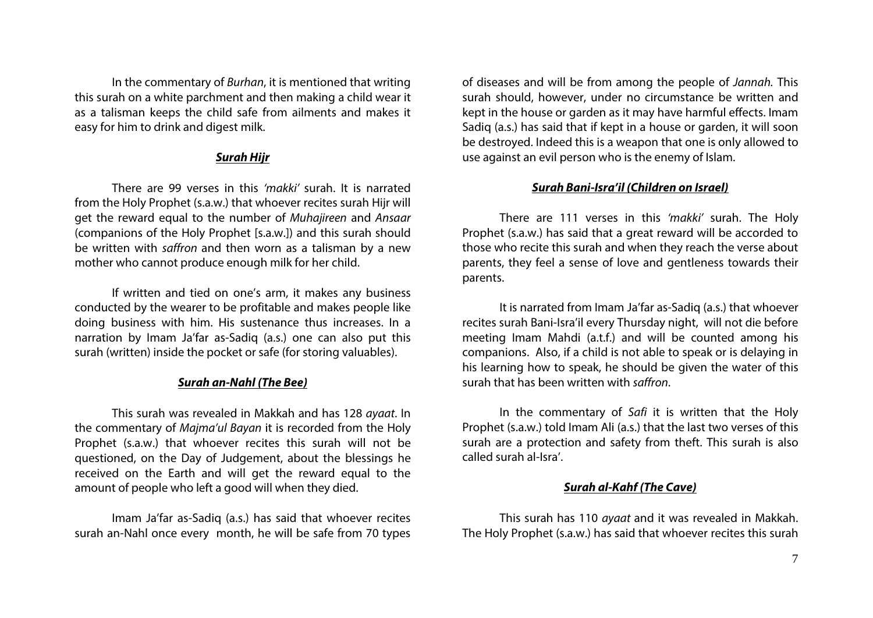In the commentary of *Burhan*, it is mentioned that writing this surah on a white parchment and then making a child wear it as a talisman keeps the child safe from ailments and makes it easy for him to drink and digest milk.

# *Surah Hijr*

There are 99 verses in this *'makki'* surah. It is narrated from the Holy Prophet (s.a.w.) that whoever recites surah Hijr will get the reward equal to the number of *Muhajireen* and *Ansaar* (companions of the Holy Prophet [s.a.w.]) and this surah should be written with *saffron* and then worn as a talisman by a new mother who cannot produce enough milk for her child.

If written and tied on one's arm, it makes any business conducted by the wearer to be profitable and makes people like doing business with him. His sustenance thus increases. In a narration by Imam Ja'far as-Sadiq (a.s.) one can also put this surah (written) inside the pocket or safe (for storing valuables).

# *Surah an-Nahl (The Bee)*

This surah was revealed in Makkah and has 128 *ayaat*. In the commentary of *Majma'ul Bayan* it is recorded from the Holy Prophet (s.a.w.) that whoever recites this surah will not be questioned, on the Day of Judgement, about the blessings he received on the Earth and will get the reward equal to the amount of people who left a good will when they died.

Imam Ja'far as-Sadiq (a.s.) has said that whoever recites surah an-Nahl once every month, he will be safe from 70 types of diseases and will be from among the people of *Jannah.* This surah should, however, under no circumstance be written and kept in the house or garden as it may have harmful effects. Imam Sadiq (a.s.) has said that if kept in a house or garden, it will soon be destroyed. Indeed this is a weapon that one is only allowed to use against an evil person who is the enemy of Islam.

# *Surah Bani-Isra'il (Children on Israel)*

There are 111 verses in this *'makki'* surah. The Holy Prophet (s.a.w.) has said that a great reward will be accorded to those who recite this surah and when they reach the verse about parents, they feel a sense of love and gentleness towards their parents.

It is narrated from Imam Ja'far as-Sadiq (a.s.) that whoever recites surah Bani-Isra'il every Thursday night, will not die before meeting Imam Mahdi (a.t.f.) and will be counted among his companions. Also, if a child is not able to speak or is delaying in his learning how to speak, he should be given the water of this surah that has been written with *saffron*.

In the commentary of *Safi* it is written that the Holy Prophet (s.a.w.) told Imam Ali (a.s.) that the last two verses of this surah are a protection and safety from theft. This surah is also called surah al-Isra'.

# *Surah al-Kahf (The Cave)*

This surah has 110 *ayaat* and it was revealed in Makkah. The Holy Prophet (s.a.w.) has said that whoever recites this surah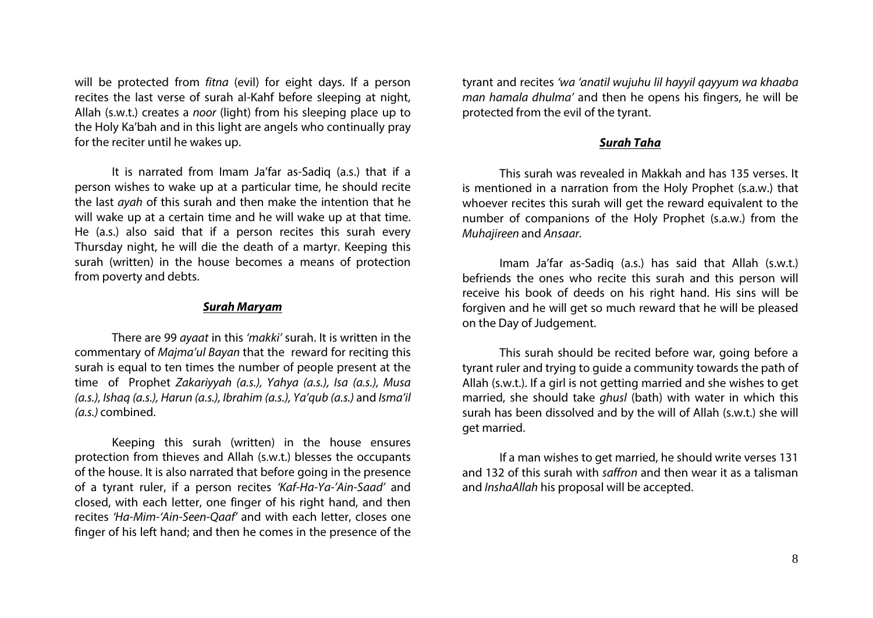will be protected from *fitna* (evil) for eight days. If a person recites the last verse of surah al-Kahf before sleeping at night, Allah (s.w.t.) creates a *noor* (light) from his sleeping place up to the Holy Ka'bah and in this light are angels who continually pray for the reciter until he wakes up.

It is narrated from Imam Ja'far as-Sadiq (a.s.) that if a person wishes to wake up at a particular time, he should recite the last *ayah* of this surah and then make the intention that he will wake up at a certain time and he will wake up at that time. He (a.s.) also said that if a person recites this surah every Thursday night, he will die the death of a martyr. Keeping this surah (written) in the house becomes a means of protection from poverty and debts.

### *Surah Maryam*

There are 99 *ayaat* in this *'makki'* surah. It is written in the commentary of *Majma'ul Bayan* that the reward for reciting this surah is equal to ten times the number of people present at the time of Prophet *Zakariyyah (a.s.), Yahya (a.s.), Isa (a.s.), Musa (a.s.), Ishaq (a.s.), Harun (a.s.), Ibrahim (a.s.), Ya'qub (a.s.)* and *Isma'il (a.s.)* combined.

Keeping this surah (written) in the house ensures protection from thieves and Allah (s.w.t.) blesses the occupants of the house. It is also narrated that before going in the presence of a tyrant ruler, if a person recites *'Kaf-Ha-Ya-'Ain-Saad'* and closed, with each letter, one finger of his right hand, and then recites *'Ha-Mim-'Ain-Seen-Qaaf'* and with each letter, closes one finger of his left hand; and then he comes in the presence of the tyrant and recites *'wa 'anatil wujuhu lil hayyil qayyum wa khaaba man hamala dhulma'* and then he opens his fingers, he will be protected from the evil of the tyrant.

#### *Surah Taha*

This surah was revealed in Makkah and has 135 verses. It is mentioned in a narration from the Holy Prophet (s.a.w.) that whoever recites this surah will get the reward equivalent to the number of companions of the Holy Prophet (s.a.w.) from the *Muhajireen* and *Ansaar.*

Imam Ja'far as-Sadiq (a.s.) has said that Allah (s.w.t.) befriends the ones who recite this surah and this person will receive his book of deeds on his right hand. His sins will be forgiven and he will get so much reward that he will be pleased on the Day of Judgement.

This surah should be recited before war, going before a tyrant ruler and trying to guide a community towards the path of Allah (s.w.t.). If a girl is not getting married and she wishes to get married, she should take *ghusl* (bath) with water in which this surah has been dissolved and by the will of Allah (s.w.t.) she will get married.

If a man wishes to get married, he should write verses 131 and 132 of this surah with *saffron* and then wear it as a talisman and *InshaAllah* his proposal will be accepted.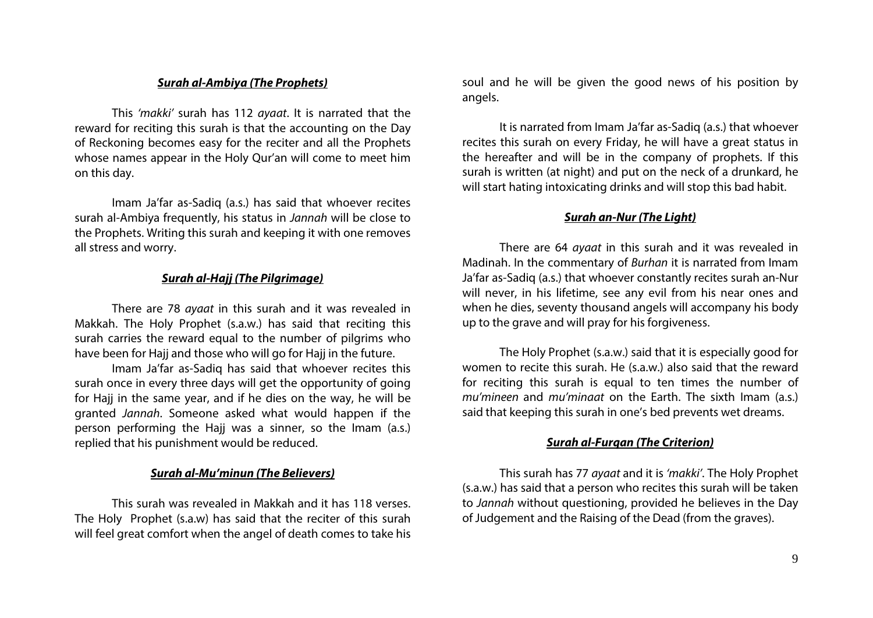# *Surah al-Ambiya (The Prophets)*

This *'makki'* surah has 112 *ayaat*. It is narrated that the reward for reciting this surah is that the accounting on the Day of Reckoning becomes easy for the reciter and all the Prophets whose names appear in the Holy Qur'an will come to meet him on this day.

Imam Ja'far as-Sadiq (a.s.) has said that whoever recites surah al-Ambiya frequently, his status in *Jannah* will be close to the Prophets. Writing this surah and keeping it with one removes all stress and worry.

# *Surah al-Hajj (The Pilgrimage)*

There are 78 *ayaat* in this surah and it was revealed in Makkah. The Holy Prophet (s.a.w.) has said that reciting this surah carries the reward equal to the number of pilgrims who have been for Hajj and those who will go for Hajj in the future.

Imam Ja'far as-Sadiq has said that whoever recites this surah once in every three days will get the opportunity of going for Hajj in the same year, and if he dies on the way, he will be granted *Jannah*. Someone asked what would happen if the person performing the Hajj was a sinner, so the Imam (a.s.) replied that his punishment would be reduced.

#### *Surah al-Mu'minun (The Believers)*

This surah was revealed in Makkah and it has 118 verses. The Holy Prophet (s.a.w) has said that the reciter of this surah will feel great comfort when the angel of death comes to take his soul and he will be given the good news of his position by angels.

It is narrated from Imam Ja'far as-Sadiq (a.s.) that whoever recites this surah on every Friday, he will have a great status in the hereafter and will be in the company of prophets. If this surah is written (at night) and put on the neck of a drunkard, he will start hating intoxicating drinks and will stop this bad habit.

#### *Surah an-Nur (The Light)*

There are 64 *ayaat* in this surah and it was revealed in Madinah. In the commentary of *Burhan* it is narrated from Imam Ja'far as-Sadiq (a.s.) that whoever constantly recites surah an-Nur will never, in his lifetime, see any evil from his near ones and when he dies, seventy thousand angels will accompany his body up to the grave and will pray for his forgiveness.

The Holy Prophet (s.a.w.) said that it is especially good for women to recite this surah. He (s.a.w.) also said that the reward for reciting this surah is equal to ten times the number of *mu'mineen* and *mu'minaat* on the Earth. The sixth Imam (a.s.) said that keeping this surah in one's bed prevents wet dreams.

# *Surah al-Furqan (The Criterion)*

This surah has 77 *ayaat* and it is *'makki'*. The Holy Prophet (s.a.w.) has said that a person who recites this surah will be taken to *Jannah* without questioning, provided he believes in the Day of Judgement and the Raising of the Dead (from the graves).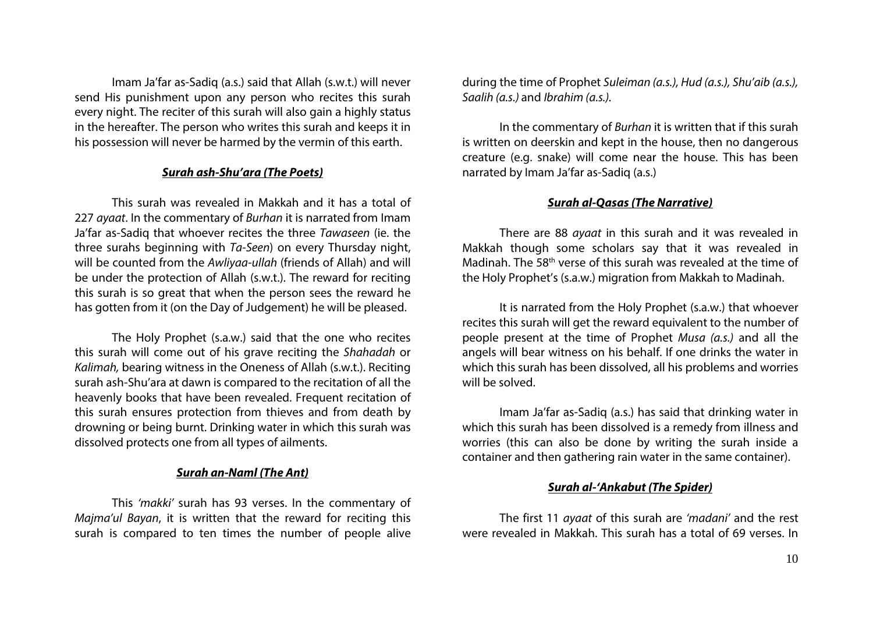Imam Ja'far as-Sadiq (a.s.) said that Allah (s.w.t.) will never send His punishment upon any person who recites this surah every night. The reciter of this surah will also gain a highly status in the hereafter. The person who writes this surah and keeps it in his possession will never be harmed by the vermin of this earth.

#### *Surah ash-Shu'ara (The Poets)*

This surah was revealed in Makkah and it has a total of 227 *ayaat*. In the commentary of *Burhan* it is narrated from Imam Ja'far as-Sadiq that whoever recites the three *Tawaseen* (ie. the three surahs beginning with *Ta-Seen*) on every Thursday night, will be counted from the *Awliyaa-ullah* (friends of Allah) and will be under the protection of Allah (s.w.t.). The reward for reciting this surah is so great that when the person sees the reward he has gotten from it (on the Day of Judgement) he will be pleased.

The Holy Prophet (s.a.w.) said that the one who recites this surah will come out of his grave reciting the *Shahadah* or *Kalimah,* bearing witness in the Oneness of Allah (s.w.t.). Reciting surah ash-Shu'ara at dawn is compared to the recitation of all the heavenly books that have been revealed. Frequent recitation of this surah ensures protection from thieves and from death by drowning or being burnt. Drinking water in which this surah was dissolved protects one from all types of ailments.

#### *Surah an-Naml (The Ant)*

This *'makki'* surah has 93 verses. In the commentary of *Majma'ul Bayan*, it is written that the reward for reciting this surah is compared to ten times the number of people alive during the time of Prophet *Suleiman (a.s.), Hud (a.s.), Shu'aib (a.s.), Saalih (a.s.)* and *Ibrahim (a.s.).* 

In the commentary of *Burhan* it is written that if this surah is written on deerskin and kept in the house, then no dangerous creature (e.g. snake) will come near the house. This has been narrated by Imam Ja'far as-Sadiq (a.s.)

## *Surah al-Qasas (The Narrative)*

There are 88 *ayaat* in this surah and it was revealed in Makkah though some scholars say that it was revealed in Madinah. The 58th verse of this surah was revealed at the time of the Holy Prophet's (s.a.w.) migration from Makkah to Madinah.

It is narrated from the Holy Prophet (s.a.w.) that whoever recites this surah will get the reward equivalent to the number of people present at the time of Prophet *Musa (a.s.)* and all the angels will bear witness on his behalf. If one drinks the water in which this surah has been dissolved, all his problems and worries will be solved.

Imam Ja'far as-Sadiq (a.s.) has said that drinking water in which this surah has been dissolved is a remedy from illness and worries (this can also be done by writing the surah inside a container and then gathering rain water in the same container).

# *Surah al-'Ankabut (The Spider)*

The first 11 *ayaat* of this surah are *'madani'* and the rest were revealed in Makkah. This surah has a total of 69 verses. In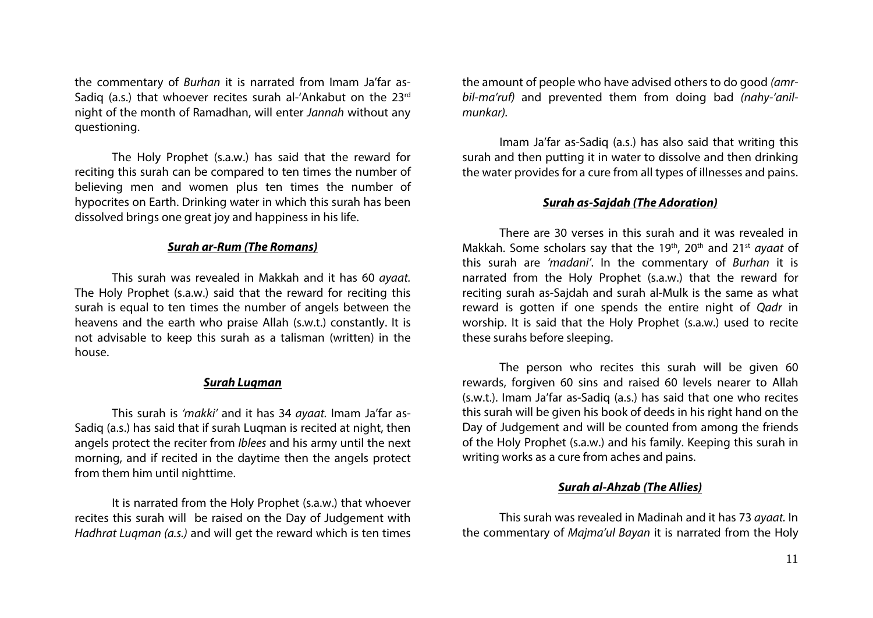the commentary of *Burhan* it is narrated from Imam Ja'far as-Sadig (a.s.) that whoever recites surah al-'Ankabut on the 23rd night of the month of Ramadhan, will enter *Jannah* without any questioning.

The Holy Prophet (s.a.w.) has said that the reward for reciting this surah can be compared to ten times the number of believing men and women plus ten times the number of hypocrites on Earth. Drinking water in which this surah has been dissolved brings one great joy and happiness in his life.

## *Surah ar-Rum (The Romans)*

This surah was revealed in Makkah and it has 60 *ayaat.* The Holy Prophet (s.a.w.) said that the reward for reciting this surah is equal to ten times the number of angels between the heavens and the earth who praise Allah (s.w.t.) constantly. It is not advisable to keep this surah as a talisman (written) in the house.

## *Surah Luqman*

This surah is *'makki'* and it has 34 *ayaat.* Imam Ja'far as-Sadiq (a.s.) has said that if surah Luqman is recited at night, then angels protect the reciter from *Iblees* and his army until the next morning, and if recited in the daytime then the angels protect from them him until nighttime.

It is narrated from the Holy Prophet (s.a.w.) that whoever recites this surah will be raised on the Day of Judgement with *Hadhrat Luqman (a.s.)* and will get the reward which is ten times the amount of people who have advised others to do good *(amrbil-ma'ruf)* and prevented them from doing bad *(nahy-'anilmunkar).*

Imam Ja'far as-Sadiq (a.s.) has also said that writing this surah and then putting it in water to dissolve and then drinking the water provides for a cure from all types of illnesses and pains.

# *Surah as-Sajdah (The Adoration)*

There are 30 verses in this surah and it was revealed in Makkah. Some scholars say that the 19<sup>th</sup>, 20<sup>th</sup> and 21<sup>st</sup> *ayaat* of this surah are *'madani'*. In the commentary of *Burhan* it is narrated from the Holy Prophet (s.a.w.) that the reward for reciting surah as-Sajdah and surah al-Mulk is the same as what reward is gotten if one spends the entire night of *Qadr* in worship. It is said that the Holy Prophet (s.a.w.) used to recite these surahs before sleeping.

The person who recites this surah will be given 60 rewards, forgiven 60 sins and raised 60 levels nearer to Allah (s.w.t.). Imam Ja'far as-Sadiq (a.s.) has said that one who recites this surah will be given his book of deeds in his right hand on the Day of Judgement and will be counted from among the friends of the Holy Prophet (s.a.w.) and his family. Keeping this surah in writing works as a cure from aches and pains.

# *Surah al-Ahzab (The Allies)*

This surah was revealed in Madinah and it has 73 *ayaat.* In the commentary of *Majma'ul Bayan* it is narrated from the Holy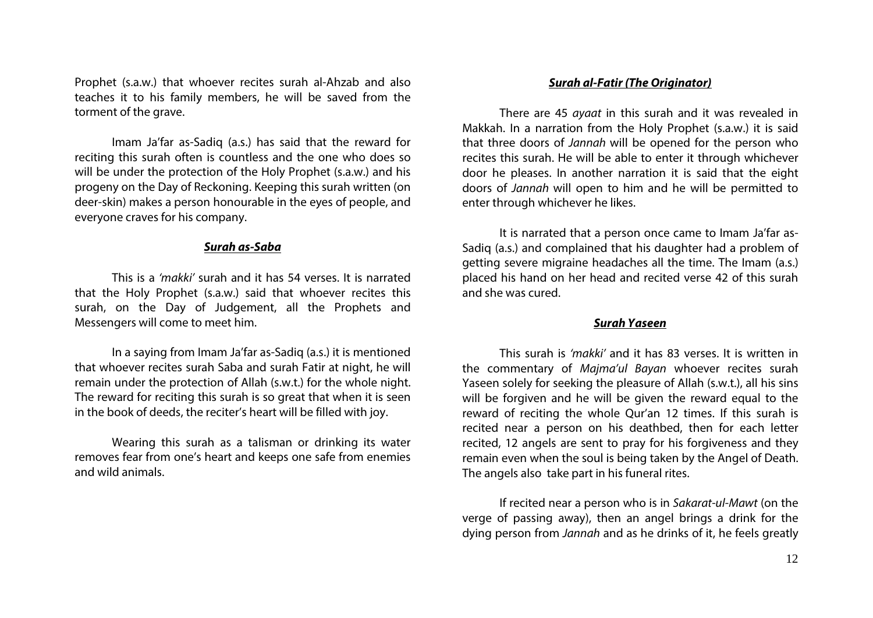Prophet (s.a.w.) that whoever recites surah al-Ahzab and also teaches it to his family members, he will be saved from the torment of the grave.

Imam Ja'far as-Sadiq (a.s.) has said that the reward for reciting this surah often is countless and the one who does so will be under the protection of the Holy Prophet (s.a.w.) and his progeny on the Day of Reckoning. Keeping this surah written (on deer-skin) makes a person honourable in the eyes of people, and everyone craves for his company.

## *Surah as-Saba*

This is a *'makki'* surah and it has 54 verses. It is narrated that the Holy Prophet (s.a.w.) said that whoever recites this surah, on the Day of Judgement, all the Prophets and Messengers will come to meet him.

In a saying from Imam Ja'far as-Sadiq (a.s.) it is mentioned that whoever recites surah Saba and surah Fatir at night, he will remain under the protection of Allah (s.w.t.) for the whole night. The reward for reciting this surah is so great that when it is seen in the book of deeds, the reciter's heart will be filled with joy.

Wearing this surah as a talisman or drinking its water removes fear from one's heart and keeps one safe from enemies and wild animals.

#### *Surah al-Fatir (The Originator)*

There are 45 *ayaat* in this surah and it was revealed in Makkah. In a narration from the Holy Prophet (s.a.w.) it is said that three doors of *Jannah* will be opened for the person who recites this surah. He will be able to enter it through whichever door he pleases. In another narration it is said that the eight doors of *Jannah* will open to him and he will be permitted to enter through whichever he likes.

It is narrated that a person once came to Imam Ja'far as-Sadiq (a.s.) and complained that his daughter had a problem of getting severe migraine headaches all the time. The Imam (a.s.) placed his hand on her head and recited verse 42 of this surah and she was cured.

#### *Surah Yaseen*

This surah is *'makki'* and it has 83 verses. It is written in the commentary of *Majma'ul Bayan* whoever recites surah Yaseen solely for seeking the pleasure of Allah (s.w.t.), all his sins will be forgiven and he will be given the reward equal to the reward of reciting the whole Qur'an 12 times. If this surah is recited near a person on his deathbed, then for each letter recited, 12 angels are sent to pray for his forgiveness and they remain even when the soul is being taken by the Angel of Death. The angels also take part in his funeral rites.

If recited near a person who is in *Sakarat-ul-Mawt* (on the verge of passing away), then an angel brings a drink for the dying person from *Jannah* and as he drinks of it, he feels greatly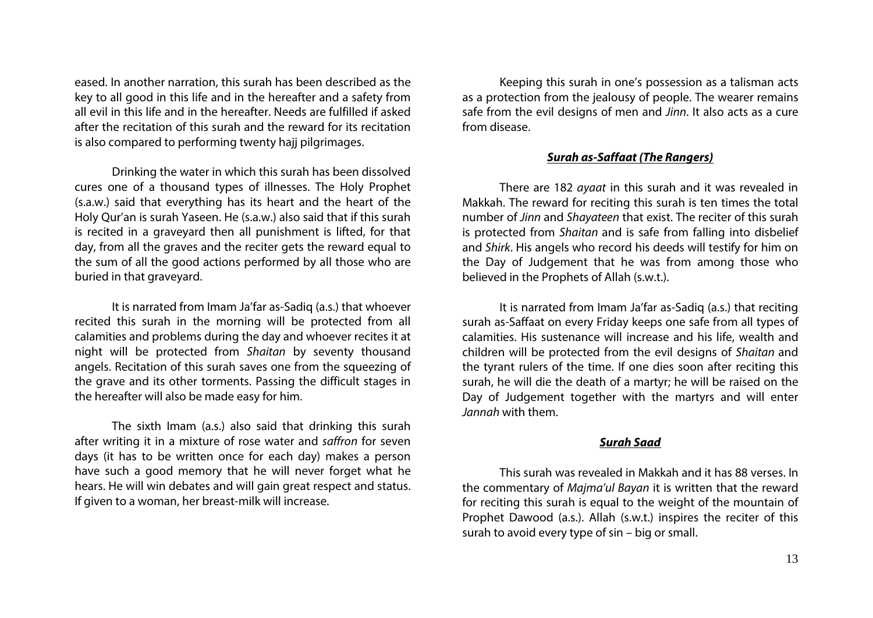eased. In another narration, this surah has been described as the key to all good in this life and in the hereafter and a safety from all evil in this life and in the hereafter. Needs are fulfilled if asked after the recitation of this surah and the reward for its recitation is also compared to performing twenty hajj pilgrimages.

Drinking the water in which this surah has been dissolved cures one of a thousand types of illnesses. The Holy Prophet (s.a.w.) said that everything has its heart and the heart of the Holy Qur'an is surah Yaseen. He (s.a.w.) also said that if this surah is recited in a graveyard then all punishment is lifted, for that day, from all the graves and the reciter gets the reward equal to the sum of all the good actions performed by all those who are buried in that graveyard.

It is narrated from Imam Ja'far as-Sadiq (a.s.) that whoever recited this surah in the morning will be protected from all calamities and problems during the day and whoever recites it at night will be protected from *Shaitan* by seventy thousand angels. Recitation of this surah saves one from the squeezing of the grave and its other torments. Passing the difficult stages in the hereafter will also be made easy for him.

The sixth Imam (a.s.) also said that drinking this surah after writing it in a mixture of rose water and *saffron* for seven days (it has to be written once for each day) makes a person have such a good memory that he will never forget what he hears. He will win debates and will gain great respect and status. If given to a woman, her breast-milk will increase.

Keeping this surah in one's possession as a talisman acts as a protection from the jealousy of people. The wearer remains safe from the evil designs of men and *Jinn*. It also acts as a cure from disease.

# *Surah as-Saffaat (The Rangers)*

There are 182 *ayaat* in this surah and it was revealed in Makkah. The reward for reciting this surah is ten times the total number of *Jinn* and *Shayateen* that exist. The reciter of this surah is protected from *Shaitan* and is safe from falling into disbelief and *Shirk*. His angels who record his deeds will testify for him on the Day of Judgement that he was from among those who believed in the Prophets of Allah (s.w.t.).

It is narrated from Imam Ja'far as-Sadiq (a.s.) that reciting surah as-Saffaat on every Friday keeps one safe from all types of calamities. His sustenance will increase and his life, wealth and children will be protected from the evil designs of *Shaitan* and the tyrant rulers of the time. If one dies soon after reciting this surah, he will die the death of a martyr; he will be raised on the Day of Judgement together with the martyrs and will enter *Jannah* with them.

### *Surah Saad*

This surah was revealed in Makkah and it has 88 verses. In the commentary of *Majma'ul Bayan* it is written that the reward for reciting this surah is equal to the weight of the mountain of Prophet Dawood (a.s.). Allah (s.w.t.) inspires the reciter of this surah to avoid every type of sin – big or small.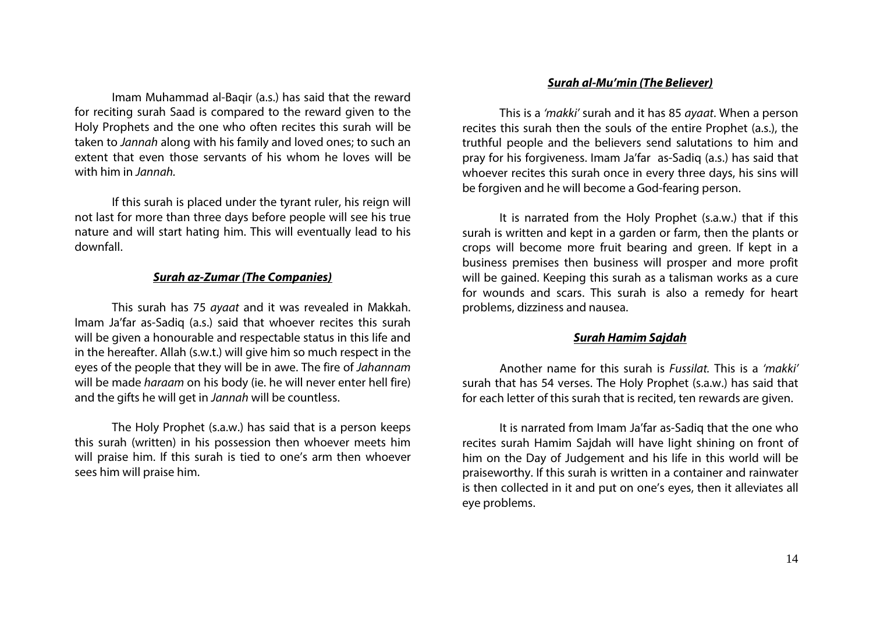Imam Muhammad al-Baqir (a.s.) has said that the reward for reciting surah Saad is compared to the reward given to the Holy Prophets and the one who often recites this surah will be taken to *Jannah* along with his family and loved ones; to such an extent that even those servants of his whom he loves will be with him in *Jannah.*

If this surah is placed under the tyrant ruler, his reign will not last for more than three days before people will see his true nature and will start hating him. This will eventually lead to his downfall.

### *Surah az-Zumar (The Companies)*

This surah has 75 *ayaat* and it was revealed in Makkah. Imam Ja'far as-Sadiq (a.s.) said that whoever recites this surah will be given a honourable and respectable status in this life and in the hereafter. Allah (s.w.t.) will give him so much respect in the eyes of the people that they will be in awe. The fire of *Jahannam* will be made *haraam* on his body (ie. he will never enter hell fire) and the gifts he will get in *Jannah* will be countless.

The Holy Prophet (s.a.w.) has said that is a person keeps this surah (written) in his possession then whoever meets him will praise him. If this surah is tied to one's arm then whoever sees him will praise him.

#### *Surah al-Mu'min (The Believer)*

This is a *'makki'* surah and it has 85 *ayaat*. When a person recites this surah then the souls of the entire Prophet (a.s.), the truthful people and the believers send salutations to him and pray for his forgiveness. Imam Ja'far as-Sadiq (a.s.) has said that whoever recites this surah once in every three days, his sins will be forgiven and he will become a God-fearing person.

It is narrated from the Holy Prophet (s.a.w.) that if this surah is written and kept in a garden or farm, then the plants or crops will become more fruit bearing and green. If kept in a business premises then business will prosper and more profit will be gained. Keeping this surah as a talisman works as a cure for wounds and scars. This surah is also a remedy for heart problems, dizziness and nausea.

#### *Surah Hamim Sajdah*

Another name for this surah is *Fussilat.* This is a *'makki'* surah that has 54 verses. The Holy Prophet (s.a.w.) has said that for each letter of this surah that is recited, ten rewards are given.

It is narrated from Imam Ja'far as-Sadiq that the one who recites surah Hamim Sajdah will have light shining on front of him on the Day of Judgement and his life in this world will be praiseworthy. If this surah is written in a container and rainwater is then collected in it and put on one's eyes, then it alleviates all eye problems.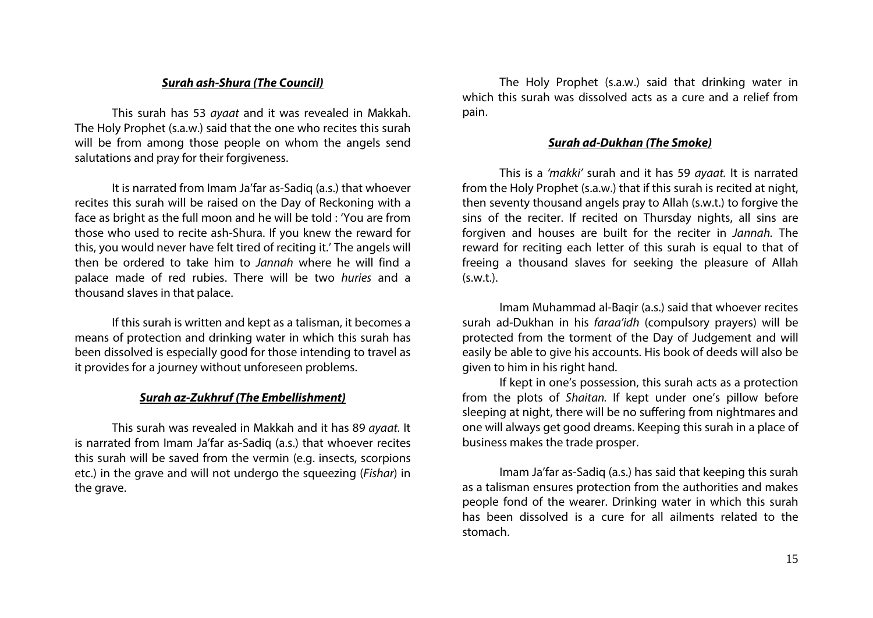# *Surah ash-Shura (The Council)*

This surah has 53 *ayaat* and it was revealed in Makkah. The Holy Prophet (s.a.w.) said that the one who recites this surah will be from among those people on whom the angels send salutations and pray for their forgiveness.

It is narrated from Imam Ja'far as-Sadiq (a.s.) that whoever recites this surah will be raised on the Day of Reckoning with a face as bright as the full moon and he will be told : 'You are from those who used to recite ash-Shura. If you knew the reward for this, you would never have felt tired of reciting it.' The angels will then be ordered to take him to *Jannah* where he will find a palace made of red rubies. There will be two *huries* and a thousand slaves in that palace.

If this surah is written and kept as a talisman, it becomes a means of protection and drinking water in which this surah has been dissolved is especially good for those intending to travel as it provides for a journey without unforeseen problems.

## *Surah az-Zukhruf (The Embellishment)*

This surah was revealed in Makkah and it has 89 *ayaat.* It is narrated from Imam Ja'far as-Sadiq (a.s.) that whoever recites this surah will be saved from the vermin (e.g. insects, scorpions etc.) in the grave and will not undergo the squeezing (*Fishar*) in the grave.

The Holy Prophet (s.a.w.) said that drinking water in which this surah was dissolved acts as a cure and a relief from pain.

### *Surah ad-Dukhan (The Smoke)*

This is a *'makki'* surah and it has 59 *ayaat.* It is narrated from the Holy Prophet (s.a.w.) that if this surah is recited at night, then seventy thousand angels pray to Allah (s.w.t.) to forgive the sins of the reciter. If recited on Thursday nights, all sins are forgiven and houses are built for the reciter in *Jannah.* The reward for reciting each letter of this surah is equal to that of freeing a thousand slaves for seeking the pleasure of Allah  $(s.w.t.)$ .

Imam Muhammad al-Baqir (a.s.) said that whoever recites surah ad-Dukhan in his *faraa'idh* (compulsory prayers) will be protected from the torment of the Day of Judgement and will easily be able to give his accounts. His book of deeds will also be given to him in his right hand.

If kept in one's possession, this surah acts as a protection from the plots of *Shaitan.* If kept under one's pillow before sleeping at night, there will be no suffering from nightmares and one will always get good dreams. Keeping this surah in a place of business makes the trade prosper.

Imam Ja'far as-Sadiq (a.s.) has said that keeping this surah as a talisman ensures protection from the authorities and makes people fond of the wearer. Drinking water in which this surah has been dissolved is a cure for all ailments related to the stomach.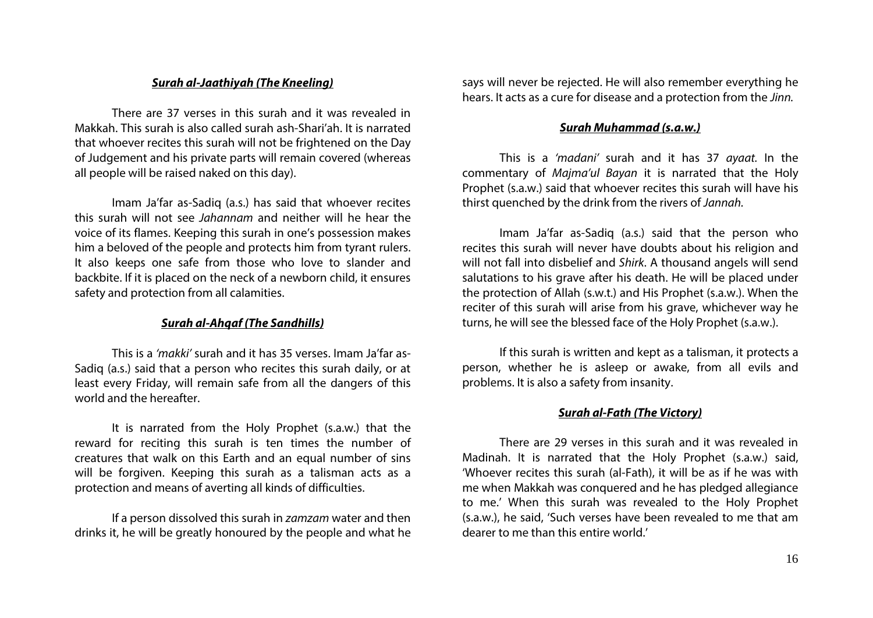## *Surah al-Jaathiyah (The Kneeling)*

There are 37 verses in this surah and it was revealed in Makkah. This surah is also called surah ash-Shari'ah. It is narrated that whoever recites this surah will not be frightened on the Day of Judgement and his private parts will remain covered (whereas all people will be raised naked on this day).

Imam Ja'far as-Sadiq (a.s.) has said that whoever recites this surah will not see *Jahannam* and neither will he hear the voice of its flames. Keeping this surah in one's possession makes him a beloved of the people and protects him from tyrant rulers. It also keeps one safe from those who love to slander and backbite. If it is placed on the neck of a newborn child, it ensures safety and protection from all calamities.

# *Surah al-Ahqaf (The Sandhills)*

This is a *'makki'* surah and it has 35 verses. Imam Ja'far as-Sadiq (a.s.) said that a person who recites this surah daily, or at least every Friday, will remain safe from all the dangers of this world and the hereafter.

It is narrated from the Holy Prophet (s.a.w.) that the reward for reciting this surah is ten times the number of creatures that walk on this Earth and an equal number of sins will be forgiven. Keeping this surah as a talisman acts as a protection and means of averting all kinds of difficulties.

If a person dissolved this surah in *zamzam* water and then drinks it, he will be greatly honoured by the people and what he says will never be rejected. He will also remember everything he hears. It acts as a cure for disease and a protection from the *Jinn.*

# *Surah Muhammad (s.a.w.)*

This is a *'madani'* surah and it has 37 *ayaat.* In the commentary of *Majma'ul Bayan* it is narrated that the Holy Prophet (s.a.w.) said that whoever recites this surah will have his thirst quenched by the drink from the rivers of *Jannah.*

Imam Ja'far as-Sadiq (a.s.) said that the person who recites this surah will never have doubts about his religion and will not fall into disbelief and *Shirk*. A thousand angels will send salutations to his grave after his death. He will be placed under the protection of Allah (s.w.t.) and His Prophet (s.a.w.). When the reciter of this surah will arise from his grave, whichever way he turns, he will see the blessed face of the Holy Prophet (s.a.w.).

If this surah is written and kept as a talisman, it protects a person, whether he is asleep or awake, from all evils and problems. It is also a safety from insanity.

# *Surah al-Fath (The Victory)*

There are 29 verses in this surah and it was revealed in Madinah. It is narrated that the Holy Prophet (s.a.w.) said, 'Whoever recites this surah (al-Fath), it will be as if he was with me when Makkah was conquered and he has pledged allegiance to me.' When this surah was revealed to the Holy Prophet (s.a.w.), he said, 'Such verses have been revealed to me that am dearer to me than this entire world.'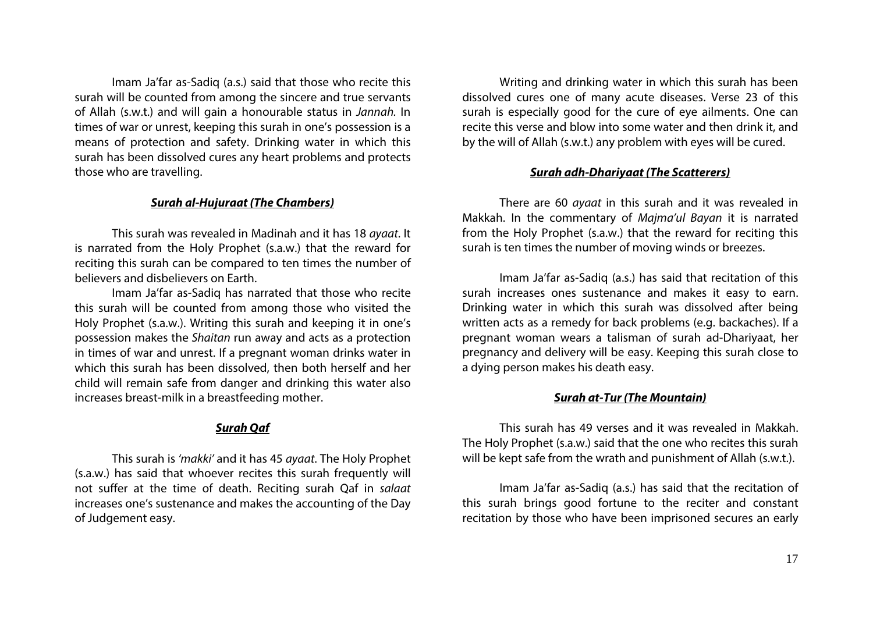Imam Ja'far as-Sadiq (a.s.) said that those who recite this surah will be counted from among the sincere and true servants of Allah (s.w.t.) and will gain a honourable status in *Jannah.* In times of war or unrest, keeping this surah in one's possession is a means of protection and safety. Drinking water in which this surah has been dissolved cures any heart problems and protects those who are travelling.

## *Surah al-Hujuraat (The Chambers)*

This surah was revealed in Madinah and it has 18 *ayaat*. It is narrated from the Holy Prophet (s.a.w.) that the reward for reciting this surah can be compared to ten times the number of believers and disbelievers on Earth.

Imam Ja'far as-Sadiq has narrated that those who recite this surah will be counted from among those who visited the Holy Prophet (s.a.w.). Writing this surah and keeping it in one's possession makes the *Shaitan* run away and acts as a protection in times of war and unrest. If a pregnant woman drinks water in which this surah has been dissolved, then both herself and her child will remain safe from danger and drinking this water also increases breast-milk in a breastfeeding mother.

# *Surah Qaf*

This surah is *'makki'* and it has 45 *ayaat*. The Holy Prophet (s.a.w.) has said that whoever recites this surah frequently will not suffer at the time of death. Reciting surah Qaf in *salaat* increases one's sustenance and makes the accounting of the Day of Judgement easy.

Writing and drinking water in which this surah has been dissolved cures one of many acute diseases. Verse 23 of this surah is especially good for the cure of eye ailments. One can recite this verse and blow into some water and then drink it, and by the will of Allah (s.w.t.) any problem with eyes will be cured.

# *Surah adh-Dhariyaat (The Scatterers)*

There are 60 *ayaat* in this surah and it was revealed in Makkah. In the commentary of *Majma'ul Bayan* it is narrated from the Holy Prophet (s.a.w.) that the reward for reciting this surah is ten times the number of moving winds or breezes.

Imam Ja'far as-Sadiq (a.s.) has said that recitation of this surah increases ones sustenance and makes it easy to earn. Drinking water in which this surah was dissolved after being written acts as a remedy for back problems (e.g. backaches). If a pregnant woman wears a talisman of surah ad-Dhariyaat, her pregnancy and delivery will be easy. Keeping this surah close to a dying person makes his death easy.

# *Surah at-Tur (The Mountain)*

This surah has 49 verses and it was revealed in Makkah. The Holy Prophet (s.a.w.) said that the one who recites this surah will be kept safe from the wrath and punishment of Allah (s.w.t.).

Imam Ja'far as-Sadiq (a.s.) has said that the recitation of this surah brings good fortune to the reciter and constant recitation by those who have been imprisoned secures an early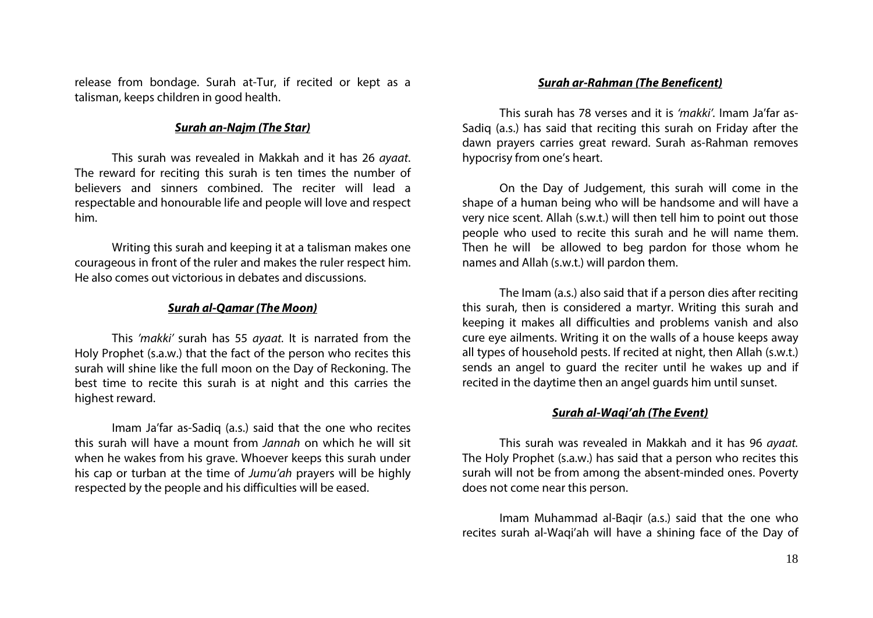release from bondage. Surah at-Tur, if recited or kept as a talisman, keeps children in good health.

## *Surah an-Najm (The Star)*

This surah was revealed in Makkah and it has 26 *ayaat*. The reward for reciting this surah is ten times the number of believers and sinners combined. The reciter will lead a respectable and honourable life and people will love and respect him.

Writing this surah and keeping it at a talisman makes one courageous in front of the ruler and makes the ruler respect him. He also comes out victorious in debates and discussions.

### *Surah al-Qamar (The Moon)*

This *'makki'* surah has 55 *ayaat.* It is narrated from the Holy Prophet (s.a.w.) that the fact of the person who recites this surah will shine like the full moon on the Day of Reckoning. The best time to recite this surah is at night and this carries the highest reward.

Imam Ja'far as-Sadiq (a.s.) said that the one who recites this surah will have a mount from *Jannah* on which he will sit when he wakes from his grave. Whoever keeps this surah under his cap or turban at the time of *Jumu'ah* prayers will be highly respected by the people and his difficulties will be eased.

### *Surah ar-Rahman (The Beneficent)*

This surah has 78 verses and it is *'makki'.* Imam Ja'far as-Sadiq (a.s.) has said that reciting this surah on Friday after the dawn prayers carries great reward. Surah as-Rahman removes hypocrisy from one's heart.

On the Day of Judgement, this surah will come in the shape of a human being who will be handsome and will have a very nice scent. Allah (s.w.t.) will then tell him to point out those people who used to recite this surah and he will name them. Then he will be allowed to beg pardon for those whom he names and Allah (s.w.t.) will pardon them.

The Imam (a.s.) also said that if a person dies after reciting this surah, then is considered a martyr. Writing this surah and keeping it makes all difficulties and problems vanish and also cure eye ailments. Writing it on the walls of a house keeps away all types of household pests. If recited at night, then Allah (s.w.t.) sends an angel to guard the reciter until he wakes up and if recited in the daytime then an angel guards him until sunset.

#### *Surah al-Waqi'ah (The Event)*

This surah was revealed in Makkah and it has 96 *ayaat.* The Holy Prophet (s.a.w.) has said that a person who recites this surah will not be from among the absent-minded ones. Poverty does not come near this person.

Imam Muhammad al-Baqir (a.s.) said that the one who recites surah al-Waqi'ah will have a shining face of the Day of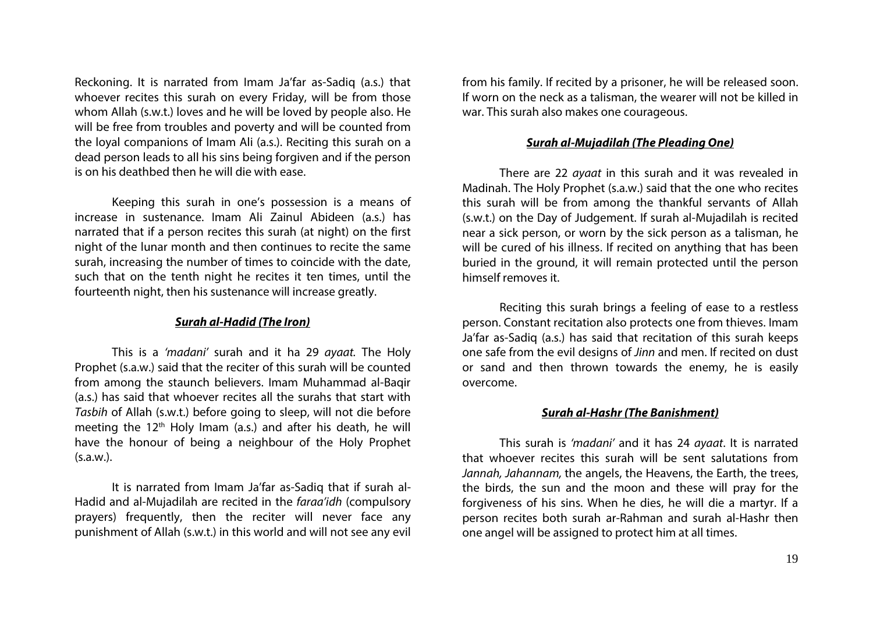Reckoning. It is narrated from Imam Ja'far as-Sadiq (a.s.) that whoever recites this surah on every Friday, will be from those whom Allah (s.w.t.) loves and he will be loved by people also. He will be free from troubles and poverty and will be counted from the loyal companions of Imam Ali (a.s.). Reciting this surah on a dead person leads to all his sins being forgiven and if the person is on his deathbed then he will die with ease.

Keeping this surah in one's possession is a means of increase in sustenance. Imam Ali Zainul Abideen (a.s.) has narrated that if a person recites this surah (at night) on the first night of the lunar month and then continues to recite the same surah, increasing the number of times to coincide with the date, such that on the tenth night he recites it ten times, until the fourteenth night, then his sustenance will increase greatly.

#### *Surah al-Hadid (The Iron)*

This is a *'madani'* surah and it ha 29 *ayaat.* The Holy Prophet (s.a.w.) said that the reciter of this surah will be counted from among the staunch believers. Imam Muhammad al-Baqir (a.s.) has said that whoever recites all the surahs that start with *Tasbih* of Allah (s.w.t.) before going to sleep, will not die before meeting the  $12<sup>th</sup>$  Holy Imam (a.s.) and after his death, he will have the honour of being a neighbour of the Holy Prophet  $(s.a.w.)$ .

It is narrated from Imam Ja'far as-Sadiq that if surah al-Hadid and al-Mujadilah are recited in the *faraa'idh* (compulsory prayers) frequently, then the reciter will never face any punishment of Allah (s.w.t.) in this world and will not see any evil from his family. If recited by a prisoner, he will be released soon. If worn on the neck as a talisman, the wearer will not be killed in war. This surah also makes one courageous.

### *Surah al-Mujadilah (The Pleading One)*

There are 22 *ayaat* in this surah and it was revealed in Madinah. The Holy Prophet (s.a.w.) said that the one who recites this surah will be from among the thankful servants of Allah (s.w.t.) on the Day of Judgement. If surah al-Mujadilah is recited near a sick person, or worn by the sick person as a talisman, he will be cured of his illness. If recited on anything that has been buried in the ground, it will remain protected until the person himself removes it.

Reciting this surah brings a feeling of ease to a restless person. Constant recitation also protects one from thieves. Imam Ja'far as-Sadiq (a.s.) has said that recitation of this surah keeps one safe from the evil designs of *Jinn* and men. If recited on dust or sand and then thrown towards the enemy, he is easily overcome.

#### *Surah al-Hashr (The Banishment)*

This surah is *'madani'* and it has 24 *ayaat*. It is narrated that whoever recites this surah will be sent salutations from *Jannah, Jahannam,* the angels, the Heavens, the Earth, the trees, the birds, the sun and the moon and these will pray for the forgiveness of his sins. When he dies, he will die a martyr. If a person recites both surah ar-Rahman and surah al-Hashr then one angel will be assigned to protect him at all times.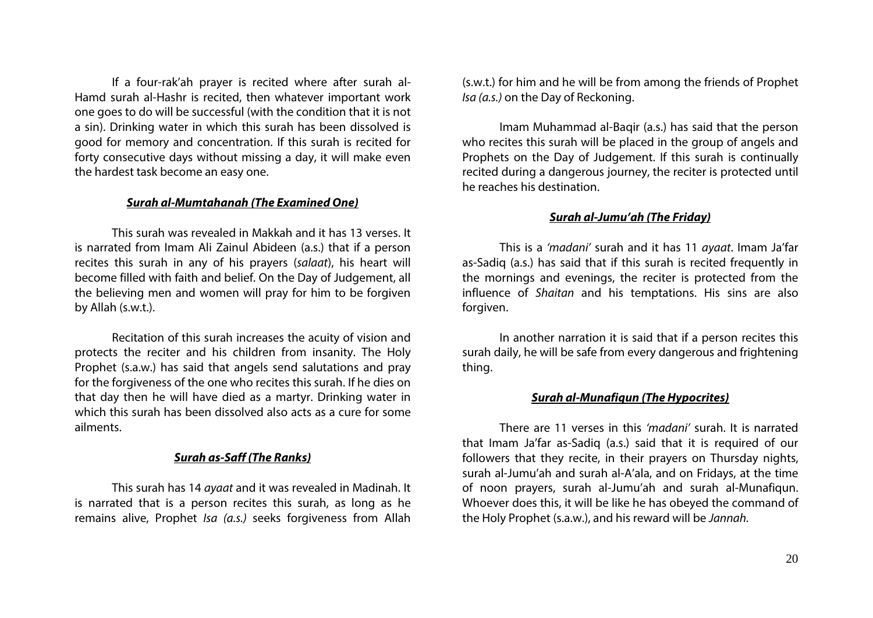If a four-rak'ah prayer is recited where after surah al-Hamd surah al-Hashr is recited, then whatever important work one goes to do will be successful (with the condition that it is not a sin). Drinking water in which this surah has been dissolved is good for memory and concentration. If this surah is recited for forty consecutive days without missing a day, it will make even the hardest task become an easy one.

# *Surah al-Mumtahanah (The Examined One)*

This surah was revealed in Makkah and it has 13 verses. It is narrated from Imam Ali Zainul Abideen (a.s.) that if a person recites this surah in any of his prayers (*salaat*), his heart will become filled with faith and belief. On the Day of Judgement, all the believing men and women will pray for him to be forgiven by Allah (s.w.t.).

Recitation of this surah increases the acuity of vision and protects the reciter and his children from insanity. The Holy Prophet (s.a.w.) has said that angels send salutations and pray for the forgiveness of the one who recites this surah. If he dies on that day then he will have died as a martyr. Drinking water in which this surah has been dissolved also acts as a cure for some ailments.

# *Surah as-Saff (The Ranks)*

This surah has 14 *ayaat* and it was revealed in Madinah. It is narrated that is a person recites this surah, as long as he remains alive, Prophet *Isa (a.s.)* seeks forgiveness from Allah (s.w.t.) for him and he will be from among the friends of Prophet *Isa (a.s.)* on the Day of Reckoning.

Imam Muhammad al-Baqir (a.s.) has said that the person who recites this surah will be placed in the group of angels and Prophets on the Day of Judgement. If this surah is continually recited during a dangerous journey, the reciter is protected until he reaches his destination.

# *Surah al-Jumu'ah (The Friday)*

This is a *'madani'* surah and it has 11 *ayaat*. Imam Ja'far as-Sadiq (a.s.) has said that if this surah is recited frequently in the mornings and evenings, the reciter is protected from the influence of *Shaitan* and his temptations. His sins are also forgiven.

In another narration it is said that if a person recites this surah daily, he will be safe from every dangerous and frightening thing.

# *Surah al-Munafiqun (The Hypocrites)*

There are 11 verses in this *'madani'* surah. It is narrated that Imam Ja'far as-Sadiq (a.s.) said that it is required of our followers that they recite, in their prayers on Thursday nights, surah al-Jumu'ah and surah al-A'ala, and on Fridays, at the time of noon prayers, surah al-Jumu'ah and surah al-Munafiqun. Whoever does this, it will be like he has obeyed the command of the Holy Prophet (s.a.w.), and his reward will be *Jannah.*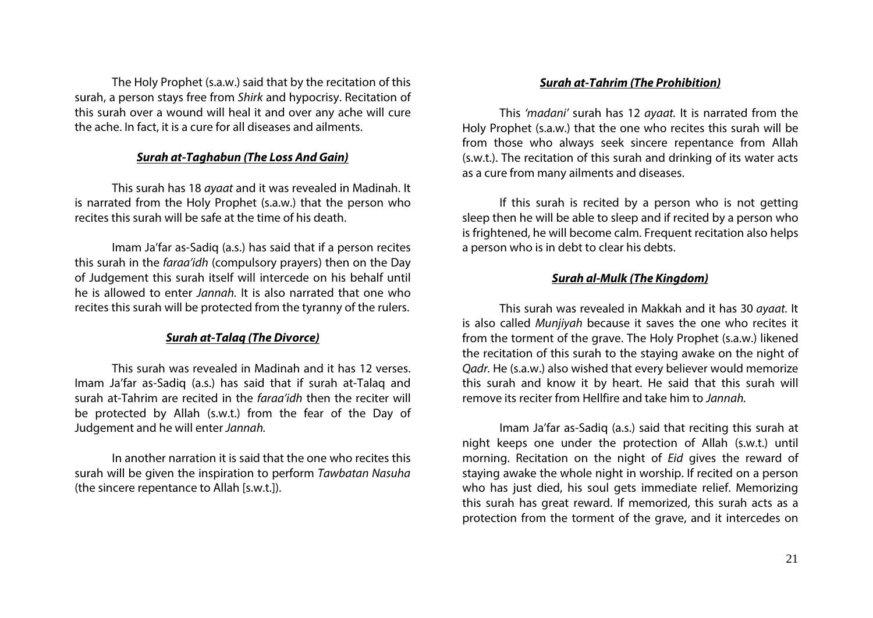The Holy Prophet (s.a.w.) said that by the recitation of this surah, a person stays free from *Shirk* and hypocrisy. Recitation of this surah over a wound will heal it and over any ache will cure the ache. In fact, it is a cure for all diseases and ailments.

# *Surah at-Taghabun (The Loss And Gain)*

This surah has 18 *ayaat* and it was revealed in Madinah. It is narrated from the Holy Prophet (s.a.w.) that the person who recites this surah will be safe at the time of his death.

Imam Ja'far as-Sadiq (a.s.) has said that if a person recites this surah in the *faraa'idh* (compulsory prayers) then on the Day of Judgement this surah itself will intercede on his behalf until he is allowed to enter *Jannah.* It is also narrated that one who recites this surah will be protected from the tyranny of the rulers.

# *Surah at-Talaq (The Divorce)*

This surah was revealed in Madinah and it has 12 verses. Imam Ja'far as-Sadiq (a.s.) has said that if surah at-Talaq and surah at-Tahrim are recited in the *faraa'idh* then the reciter will be protected by Allah (s.w.t.) from the fear of the Day of Judgement and he will enter *Jannah.*

In another narration it is said that the one who recites this surah will be given the inspiration to perform *Tawbatan Nasuha*  (the sincere repentance to Allah [s.w.t.]).

### *Surah at-Tahrim (The Prohibition)*

This *'madani'* surah has 12 *ayaat.* It is narrated from the Holy Prophet (s.a.w.) that the one who recites this surah will be from those who always seek sincere repentance from Allah (s.w.t.). The recitation of this surah and drinking of its water acts as a cure from many ailments and diseases.

If this surah is recited by a person who is not getting sleep then he will be able to sleep and if recited by a person who is frightened, he will become calm. Frequent recitation also helps a person who is in debt to clear his debts.

# *Surah al-Mulk (The Kingdom)*

This surah was revealed in Makkah and it has 30 *ayaat.* It is also called *Munjiyah* because it saves the one who recites it from the torment of the grave. The Holy Prophet (s.a.w.) likened the recitation of this surah to the staying awake on the night of *Qadr.* He (s.a.w.) also wished that every believer would memorize this surah and know it by heart. He said that this surah will remove its reciter from Hellfire and take him to *Jannah.*

Imam Ja'far as-Sadiq (a.s.) said that reciting this surah at night keeps one under the protection of Allah (s.w.t.) until morning. Recitation on the night of *Eid* gives the reward of staying awake the whole night in worship. If recited on a person who has just died, his soul gets immediate relief. Memorizing this surah has great reward. If memorized, this surah acts as a protection from the torment of the grave, and it intercedes on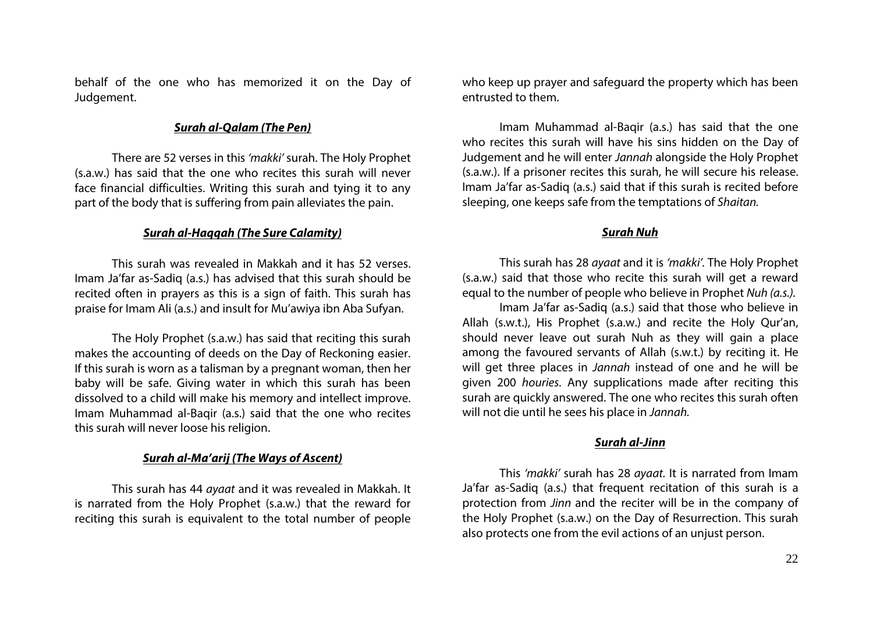behalf of the one who has memorized it on the Day of Judgement.

# *Surah al-Qalam (The Pen)*

There are 52 verses in this *'makki'* surah. The Holy Prophet (s.a.w.) has said that the one who recites this surah will never face financial difficulties. Writing this surah and tying it to any part of the body that is suffering from pain alleviates the pain.

### *Surah al-Haqqah (The Sure Calamity)*

This surah was revealed in Makkah and it has 52 verses. Imam Ja'far as-Sadiq (a.s.) has advised that this surah should be recited often in prayers as this is a sign of faith. This surah has praise for Imam Ali (a.s.) and insult for Mu'awiya ibn Aba Sufyan.

The Holy Prophet (s.a.w.) has said that reciting this surah makes the accounting of deeds on the Day of Reckoning easier. If this surah is worn as a talisman by a pregnant woman, then her baby will be safe. Giving water in which this surah has been dissolved to a child will make his memory and intellect improve. Imam Muhammad al-Baqir (a.s.) said that the one who recites this surah will never loose his religion.

# *Surah al-Ma'arij (The Ways of Ascent)*

This surah has 44 *ayaat* and it was revealed in Makkah. It is narrated from the Holy Prophet (s.a.w.) that the reward for reciting this surah is equivalent to the total number of people who keep up prayer and safeguard the property which has been entrusted to them.

Imam Muhammad al-Baqir (a.s.) has said that the one who recites this surah will have his sins hidden on the Day of Judgement and he will enter *Jannah* alongside the Holy Prophet (s.a.w.). If a prisoner recites this surah, he will secure his release. Imam Ja'far as-Sadiq (a.s.) said that if this surah is recited before sleeping, one keeps safe from the temptations of *Shaitan.*

## *Surah Nuh*

This surah has 28 *ayaat* and it is *'makki'.* The Holy Prophet (s.a.w.) said that those who recite this surah will get a reward equal to the number of people who believe in Prophet *Nuh (a.s.).* 

Imam Ja'far as-Sadiq (a.s.) said that those who believe in Allah (s.w.t.), His Prophet (s.a.w.) and recite the Holy Qur'an, should never leave out surah Nuh as they will gain a place among the favoured servants of Allah (s.w.t.) by reciting it. He will get three places in *Jannah* instead of one and he will be given 200 *houries*. Any supplications made after reciting this surah are quickly answered. The one who recites this surah often will not die until he sees his place in *Jannah.*

#### *Surah al-Jinn*

This *'makki'* surah has 28 *ayaat.* It is narrated from Imam Ja'far as-Sadiq (a.s.) that frequent recitation of this surah is a protection from *Jinn* and the reciter will be in the company of the Holy Prophet (s.a.w.) on the Day of Resurrection. This surah also protects one from the evil actions of an unjust person.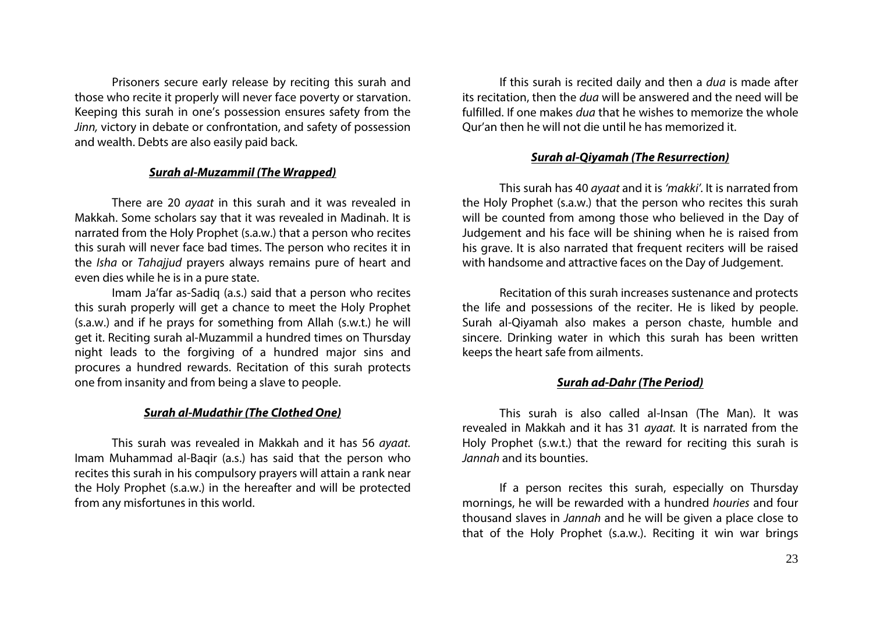Prisoners secure early release by reciting this surah and those who recite it properly will never face poverty or starvation. Keeping this surah in one's possession ensures safety from the *Jinn,* victory in debate or confrontation, and safety of possession and wealth. Debts are also easily paid back.

#### *Surah al-Muzammil (The Wrapped)*

There are 20 *ayaat* in this surah and it was revealed in Makkah. Some scholars say that it was revealed in Madinah. It is narrated from the Holy Prophet (s.a.w.) that a person who recites this surah will never face bad times. The person who recites it in the *Isha* or *Tahajjud* prayers always remains pure of heart and even dies while he is in a pure state.

Imam Ja'far as-Sadiq (a.s.) said that a person who recites this surah properly will get a chance to meet the Holy Prophet (s.a.w.) and if he prays for something from Allah (s.w.t.) he will get it. Reciting surah al-Muzammil a hundred times on Thursday night leads to the forgiving of a hundred major sins and procures a hundred rewards. Recitation of this surah protects one from insanity and from being a slave to people.

#### *Surah al-Mudathir (The Clothed One)*

This surah was revealed in Makkah and it has 56 *ayaat.* Imam Muhammad al-Baqir (a.s.) has said that the person who recites this surah in his compulsory prayers will attain a rank near the Holy Prophet (s.a.w.) in the hereafter and will be protected from any misfortunes in this world.

If this surah is recited daily and then a *dua* is made after its recitation, then the *dua* will be answered and the need will be fulfilled. If one makes *dua* that he wishes to memorize the whole Qur'an then he will not die until he has memorized it.

# *Surah al-Qiyamah (The Resurrection)*

This surah has 40 *ayaat* and it is *'makki'.* It is narrated from the Holy Prophet (s.a.w.) that the person who recites this surah will be counted from among those who believed in the Day of Judgement and his face will be shining when he is raised from his grave. It is also narrated that frequent reciters will be raised with handsome and attractive faces on the Day of Judgement.

Recitation of this surah increases sustenance and protects the life and possessions of the reciter. He is liked by people. Surah al-Qiyamah also makes a person chaste, humble and sincere. Drinking water in which this surah has been written keeps the heart safe from ailments.

#### *Surah ad-Dahr (The Period)*

This surah is also called al-Insan (The Man). It was revealed in Makkah and it has 31 *ayaat.* It is narrated from the Holy Prophet (s.w.t.) that the reward for reciting this surah is *Jannah* and its bounties.

If a person recites this surah, especially on Thursday mornings, he will be rewarded with a hundred *houries* and four thousand slaves in *Jannah* and he will be given a place close to that of the Holy Prophet (s.a.w.). Reciting it win war brings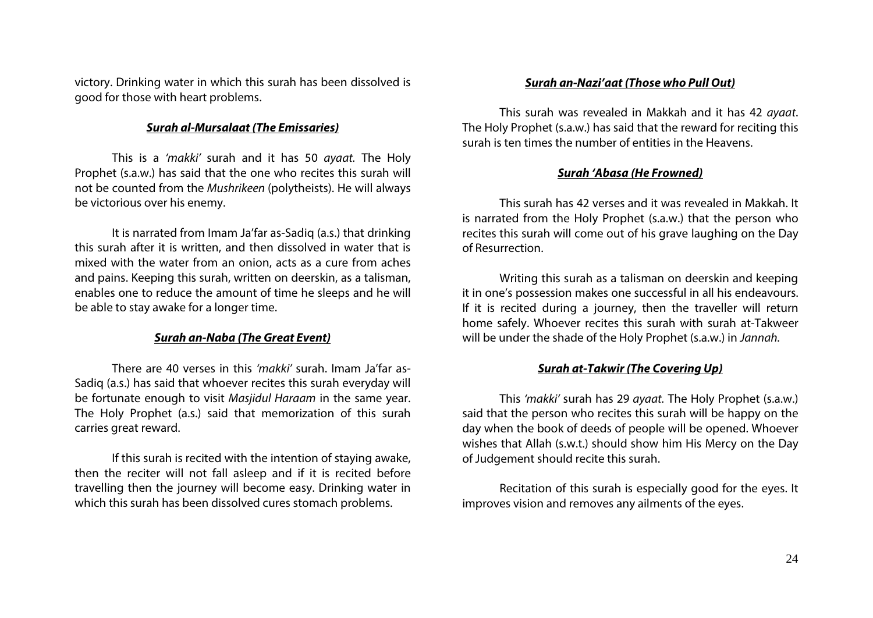victory. Drinking water in which this surah has been dissolved is good for those with heart problems.

# *Surah al-Mursalaat (The Emissaries)*

This is a *'makki'* surah and it has 50 *ayaat.* The Holy Prophet (s.a.w.) has said that the one who recites this surah will not be counted from the *Mushrikeen* (polytheists). He will always be victorious over his enemy.

It is narrated from Imam Ja'far as-Sadiq (a.s.) that drinking this surah after it is written, and then dissolved in water that is mixed with the water from an onion, acts as a cure from aches and pains. Keeping this surah, written on deerskin, as a talisman, enables one to reduce the amount of time he sleeps and he will be able to stay awake for a longer time.

# *Surah an-Naba (The Great Event)*

There are 40 verses in this *'makki'* surah. Imam Ja'far as-Sadiq (a.s.) has said that whoever recites this surah everyday will be fortunate enough to visit *Masjidul Haraam* in the same year. The Holy Prophet (a.s.) said that memorization of this surah carries great reward.

If this surah is recited with the intention of staying awake, then the reciter will not fall asleep and if it is recited before travelling then the journey will become easy. Drinking water in which this surah has been dissolved cures stomach problems.

# *Surah an-Nazi'aat (Those who Pull Out)*

This surah was revealed in Makkah and it has 42 *ayaat*. The Holy Prophet (s.a.w.) has said that the reward for reciting this surah is ten times the number of entities in the Heavens.

# *Surah 'Abasa (He Frowned)*

This surah has 42 verses and it was revealed in Makkah. It is narrated from the Holy Prophet (s.a.w.) that the person who recites this surah will come out of his grave laughing on the Day of Resurrection.

Writing this surah as a talisman on deerskin and keeping it in one's possession makes one successful in all his endeavours. If it is recited during a journey, then the traveller will return home safely. Whoever recites this surah with surah at-Takweer will be under the shade of the Holy Prophet (s.a.w.) in *Jannah.*

# *Surah at-Takwir (The Covering Up)*

This *'makki'* surah has 29 *ayaat.* The Holy Prophet (s.a.w.) said that the person who recites this surah will be happy on the day when the book of deeds of people will be opened. Whoever wishes that Allah (s.w.t.) should show him His Mercy on the Day of Judgement should recite this surah.

Recitation of this surah is especially good for the eyes. It improves vision and removes any ailments of the eyes.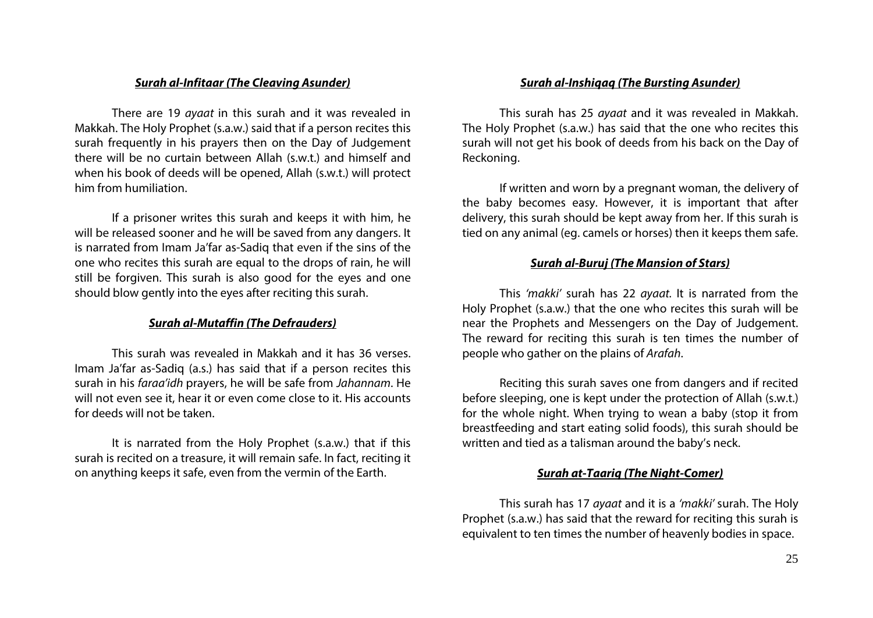## *Surah al-Infitaar (The Cleaving Asunder)*

There are 19 *ayaat* in this surah and it was revealed in Makkah. The Holy Prophet (s.a.w.) said that if a person recites this surah frequently in his prayers then on the Day of Judgement there will be no curtain between Allah (s.w.t.) and himself and when his book of deeds will be opened, Allah (s.w.t.) will protect him from humiliation.

If a prisoner writes this surah and keeps it with him, he will be released sooner and he will be saved from any dangers. It is narrated from Imam Ja'far as-Sadiq that even if the sins of the one who recites this surah are equal to the drops of rain, he will still be forgiven. This surah is also good for the eyes and one should blow gently into the eyes after reciting this surah.

# *Surah al-Mutaffin (The Defrauders)*

This surah was revealed in Makkah and it has 36 verses. Imam Ja'far as-Sadiq (a.s.) has said that if a person recites this surah in his *faraa'idh* prayers, he will be safe from *Jahannam*. He will not even see it, hear it or even come close to it. His accounts for deeds will not be taken.

It is narrated from the Holy Prophet (s.a.w.) that if this surah is recited on a treasure, it will remain safe. In fact, reciting it on anything keeps it safe, even from the vermin of the Earth.

## *Surah al-Inshiqaq (The Bursting Asunder)*

This surah has 25 *ayaat* and it was revealed in Makkah. The Holy Prophet (s.a.w.) has said that the one who recites this surah will not get his book of deeds from his back on the Day of Reckoning.

If written and worn by a pregnant woman, the delivery of the baby becomes easy. However, it is important that after delivery, this surah should be kept away from her. If this surah is tied on any animal (eg. camels or horses) then it keeps them safe.

### *Surah al-Buruj (The Mansion of Stars)*

This *'makki'* surah has 22 *ayaat.* It is narrated from the Holy Prophet (s.a.w.) that the one who recites this surah will be near the Prophets and Messengers on the Day of Judgement. The reward for reciting this surah is ten times the number of people who gather on the plains of *Arafah*.

Reciting this surah saves one from dangers and if recited before sleeping, one is kept under the protection of Allah (s.w.t.) for the whole night. When trying to wean a baby (stop it from breastfeeding and start eating solid foods), this surah should be written and tied as a talisman around the baby's neck.

### *Surah at-Taariq (The Night-Comer)*

This surah has 17 *ayaat* and it is a *'makki'* surah. The Holy Prophet (s.a.w.) has said that the reward for reciting this surah is equivalent to ten times the number of heavenly bodies in space.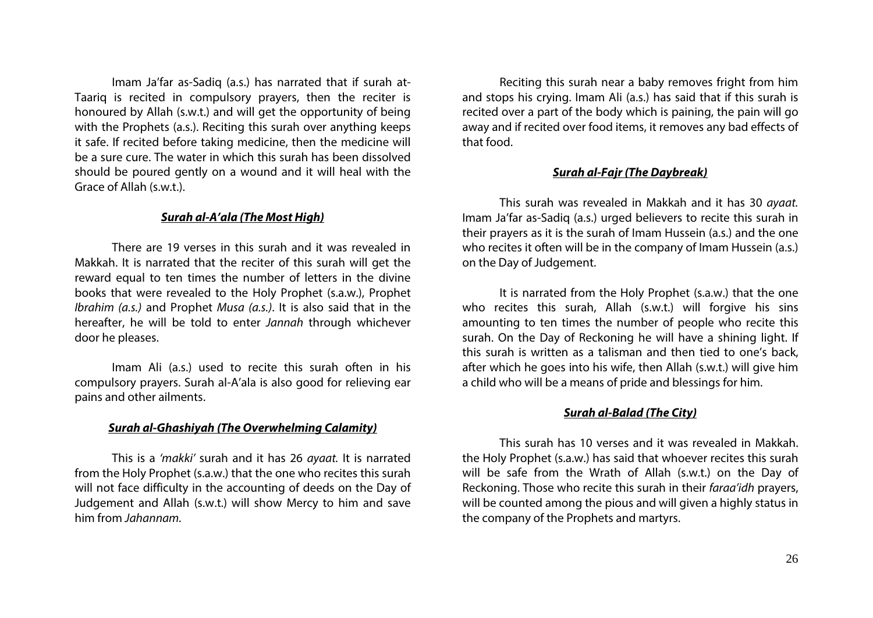Imam Ja'far as-Sadiq (a.s.) has narrated that if surah at-Taariq is recited in compulsory prayers, then the reciter is honoured by Allah (s.w.t.) and will get the opportunity of being with the Prophets (a.s.). Reciting this surah over anything keeps it safe. If recited before taking medicine, then the medicine will be a sure cure. The water in which this surah has been dissolved should be poured gently on a wound and it will heal with the Grace of Allah (s.w.t.).

## *Surah al-A'ala (The Most High)*

There are 19 verses in this surah and it was revealed in Makkah. It is narrated that the reciter of this surah will get the reward equal to ten times the number of letters in the divine books that were revealed to the Holy Prophet (s.a.w.), Prophet *Ibrahim (a.s.)* and Prophet *Musa (a.s.)*. It is also said that in the hereafter, he will be told to enter *Jannah* through whichever door he pleases.

Imam Ali (a.s.) used to recite this surah often in his compulsory prayers. Surah al-A'ala is also good for relieving ear pains and other ailments.

#### *Surah al-Ghashiyah (The Overwhelming Calamity)*

This is a *'makki'* surah and it has 26 *ayaat.* It is narrated from the Holy Prophet (s.a.w.) that the one who recites this surah will not face difficulty in the accounting of deeds on the Day of Judgement and Allah (s.w.t.) will show Mercy to him and save him from *Jahannam.*

Reciting this surah near a baby removes fright from him and stops his crying. Imam Ali (a.s.) has said that if this surah is recited over a part of the body which is paining, the pain will go away and if recited over food items, it removes any bad effects of that food.

#### *Surah al-Fajr (The Daybreak)*

This surah was revealed in Makkah and it has 30 *ayaat.* Imam Ja'far as-Sadiq (a.s.) urged believers to recite this surah in their prayers as it is the surah of Imam Hussein (a.s.) and the one who recites it often will be in the company of Imam Hussein (a.s.) on the Day of Judgement.

It is narrated from the Holy Prophet (s.a.w.) that the one who recites this surah, Allah (s.w.t.) will forgive his sins amounting to ten times the number of people who recite this surah. On the Day of Reckoning he will have a shining light. If this surah is written as a talisman and then tied to one's back, after which he goes into his wife, then Allah (s.w.t.) will give him a child who will be a means of pride and blessings for him.

#### *Surah al-Balad (The City)*

This surah has 10 verses and it was revealed in Makkah. the Holy Prophet (s.a.w.) has said that whoever recites this surah will be safe from the Wrath of Allah (s.w.t.) on the Day of Reckoning. Those who recite this surah in their *faraa'idh* prayers, will be counted among the pious and will given a highly status in the company of the Prophets and martyrs.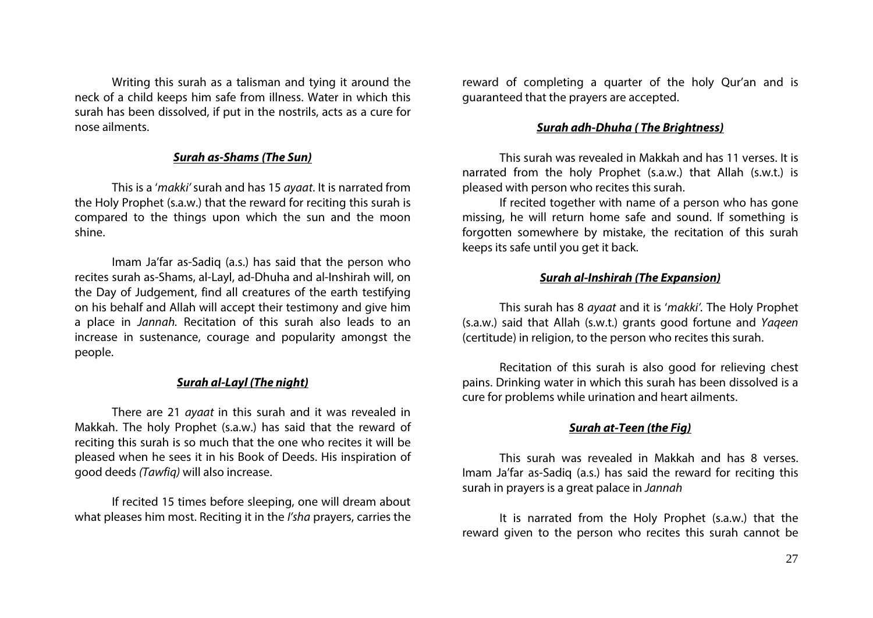Writing this surah as a talisman and tying it around the neck of a child keeps him safe from illness. Water in which this surah has been dissolved, if put in the nostrils, acts as a cure for nose ailments.

# *Surah as-Shams (The Sun)*

This is a '*makki'* surah and has 15 *ayaat*. It is narrated from the Holy Prophet (s.a.w.) that the reward for reciting this surah is compared to the things upon which the sun and the moon shine.

Imam Ja'far as-Sadiq (a.s.) has said that the person who recites surah as-Shams, al-Layl, ad-Dhuha and al-Inshirah will, on the Day of Judgement, find all creatures of the earth testifying on his behalf and Allah will accept their testimony and give him a place in *Jannah.* Recitation of this surah also leads to an increase in sustenance, courage and popularity amongst the people.

# *Surah al-Layl (The night)*

There are 21 *ayaat* in this surah and it was revealed in Makkah. The holy Prophet (s.a.w.) has said that the reward of reciting this surah is so much that the one who recites it will be pleased when he sees it in his Book of Deeds. His inspiration of good deeds *(Tawfiq)* will also increase.

If recited 15 times before sleeping, one will dream about what pleases him most. Reciting it in the *I'sha* prayers, carries the reward of completing a quarter of the holy Qur'an and is guaranteed that the prayers are accepted.

# *Surah adh-Dhuha ( The Brightness)*

This surah was revealed in Makkah and has 11 verses. It is narrated from the holy Prophet (s.a.w.) that Allah (s.w.t.) is pleased with person who recites this surah.

If recited together with name of a person who has gone missing, he will return home safe and sound. If something is forgotten somewhere by mistake, the recitation of this surah keeps its safe until you get it back.

#### *Surah al-Inshirah (The Expansion)*

This surah has 8 *ayaat* and it is '*makki'.* The Holy Prophet (s.a.w.) said that Allah (s.w.t.) grants good fortune and *Yaqeen*  (certitude) in religion, to the person who recites this surah.

Recitation of this surah is also good for relieving chest pains. Drinking water in which this surah has been dissolved is a cure for problems while urination and heart ailments.

## *Surah at-Teen (the Fig)*

This surah was revealed in Makkah and has 8 verses. Imam Ja'far as-Sadiq (a.s.) has said the reward for reciting this surah in prayers is a great palace in *Jannah*

It is narrated from the Holy Prophet (s.a.w.) that the reward given to the person who recites this surah cannot be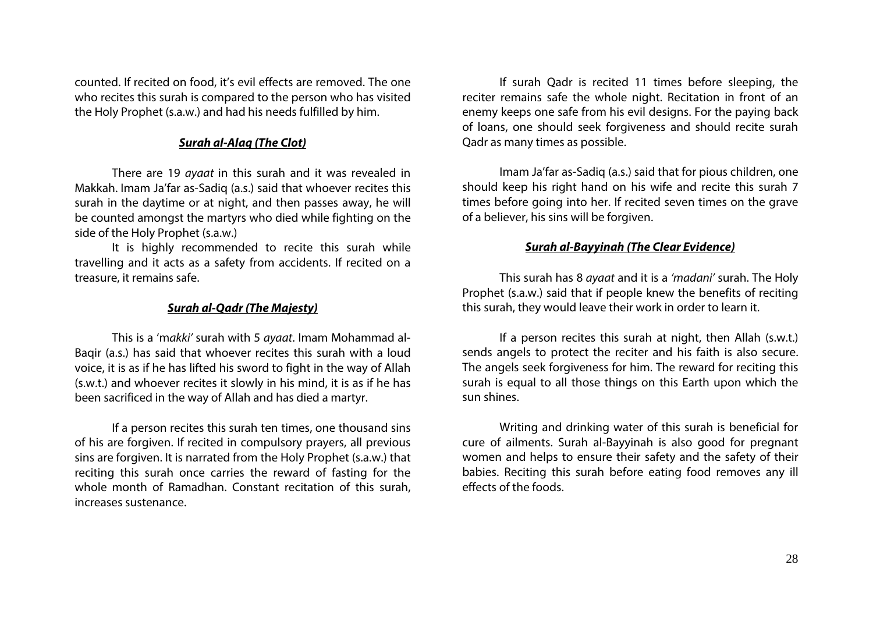counted. If recited on food, it's evil effects are removed. The one who recites this surah is compared to the person who has visited the Holy Prophet (s.a.w.) and had his needs fulfilled by him.

# *Surah al-Alaq (The Clot)*

There are 19 *ayaat* in this surah and it was revealed in Makkah. Imam Ja'far as-Sadiq (a.s.) said that whoever recites this surah in the daytime or at night, and then passes away, he will be counted amongst the martyrs who died while fighting on the side of the Holy Prophet (s.a.w.)

It is highly recommended to recite this surah while travelling and it acts as a safety from accidents. If recited on a treasure, it remains safe.

### *Surah al-Qadr (The Majesty)*

This is a 'm*akki'* surah with 5 *ayaat*. Imam Mohammad al-Baqir (a.s.) has said that whoever recites this surah with a loud voice, it is as if he has lifted his sword to fight in the way of Allah (s.w.t.) and whoever recites it slowly in his mind, it is as if he has been sacrificed in the way of Allah and has died a martyr.

If a person recites this surah ten times, one thousand sins of his are forgiven. If recited in compulsory prayers, all previous sins are forgiven. It is narrated from the Holy Prophet (s.a.w.) that reciting this surah once carries the reward of fasting for the whole month of Ramadhan. Constant recitation of this surah, increases sustenance.

If surah Qadr is recited 11 times before sleeping, the reciter remains safe the whole night. Recitation in front of an enemy keeps one safe from his evil designs. For the paying back of loans, one should seek forgiveness and should recite surah Qadr as many times as possible.

Imam Ja'far as-Sadiq (a.s.) said that for pious children, one should keep his right hand on his wife and recite this surah 7 times before going into her. If recited seven times on the grave of a believer, his sins will be forgiven.

## *Surah al-Bayyinah (The Clear Evidence)*

This surah has 8 *ayaat* and it is a *'madani'* surah. The Holy Prophet (s.a.w.) said that if people knew the benefits of reciting this surah, they would leave their work in order to learn it.

If a person recites this surah at night, then Allah (s.w.t.) sends angels to protect the reciter and his faith is also secure. The angels seek forgiveness for him. The reward for reciting this surah is equal to all those things on this Earth upon which the sun shines.

Writing and drinking water of this surah is beneficial for cure of ailments. Surah al-Bayyinah is also good for pregnant women and helps to ensure their safety and the safety of their babies. Reciting this surah before eating food removes any ill effects of the foods.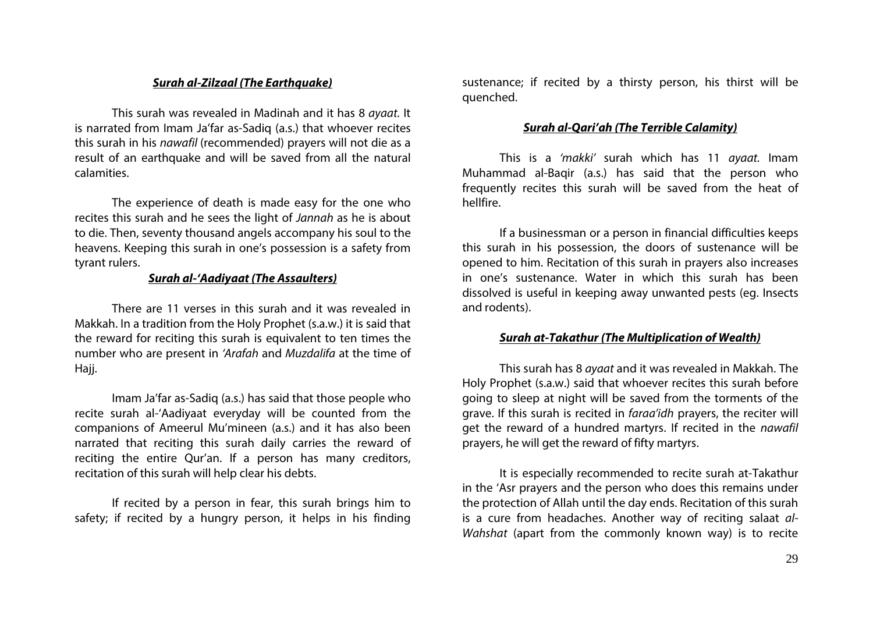## *Surah al-Zilzaal (The Earthquake)*

This surah was revealed in Madinah and it has 8 *ayaat.* It is narrated from Imam Ja'far as-Sadiq (a.s.) that whoever recites this surah in his *nawafil* (recommended) prayers will not die as a result of an earthquake and will be saved from all the natural calamities.

The experience of death is made easy for the one who recites this surah and he sees the light of *Jannah* as he is about to die. Then, seventy thousand angels accompany his soul to the heavens. Keeping this surah in one's possession is a safety from tyrant rulers.

# *Surah al-'Aadiyaat (The Assaulters)*

There are 11 verses in this surah and it was revealed in Makkah. In a tradition from the Holy Prophet (s.a.w.) it is said that the reward for reciting this surah is equivalent to ten times the number who are present in *'Arafah* and *Muzdalifa* at the time of Hajj.

Imam Ja'far as-Sadiq (a.s.) has said that those people who recite surah al-'Aadiyaat everyday will be counted from the companions of Ameerul Mu'mineen (a.s.) and it has also been narrated that reciting this surah daily carries the reward of reciting the entire Qur'an. If a person has many creditors, recitation of this surah will help clear his debts.

If recited by a person in fear, this surah brings him to safety; if recited by a hungry person, it helps in his finding

sustenance; if recited by a thirsty person, his thirst will be quenched.

# *Surah al-Qari'ah (The Terrible Calamity)*

This is a *'makki'* surah which has 11 *ayaat.* Imam Muhammad al-Baqir (a.s.) has said that the person who frequently recites this surah will be saved from the heat of hellfire.

If a businessman or a person in financial difficulties keeps this surah in his possession, the doors of sustenance will be opened to him. Recitation of this surah in prayers also increases in one's sustenance. Water in which this surah has been dissolved is useful in keeping away unwanted pests (eg. Insects and rodents).

## *Surah at-Takathur (The Multiplication of Wealth)*

This surah has 8 *ayaat* and it was revealed in Makkah. The Holy Prophet (s.a.w.) said that whoever recites this surah before going to sleep at night will be saved from the torments of the grave. If this surah is recited in *faraa'idh* prayers, the reciter will get the reward of a hundred martyrs. If recited in the *nawafil* prayers, he will get the reward of fifty martyrs.

It is especially recommended to recite surah at-Takathur in the 'Asr prayers and the person who does this remains under the protection of Allah until the day ends. Recitation of this surah is a cure from headaches. Another way of reciting salaat *al-Wahshat* (apart from the commonly known way) is to recite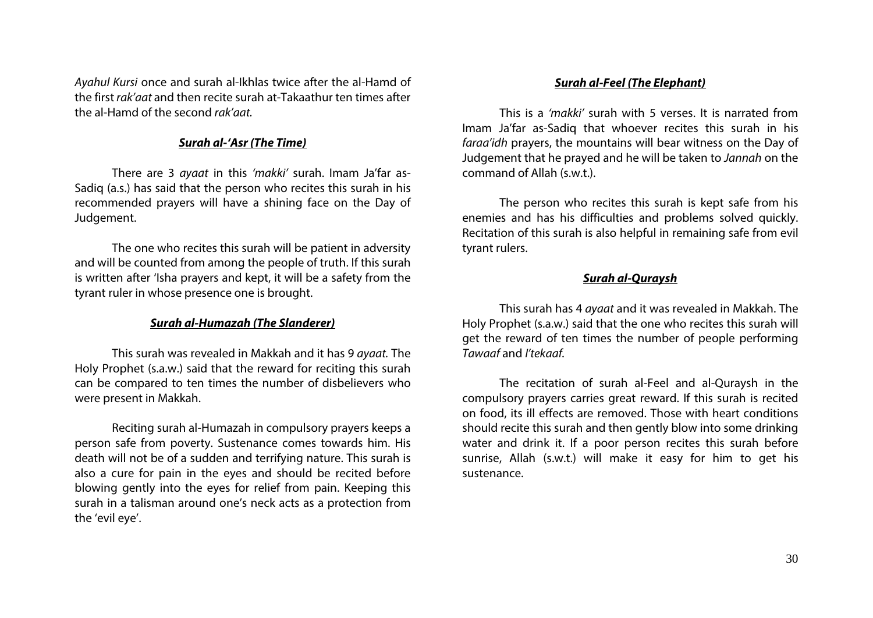*Ayahul Kursi* once and surah al-Ikhlas twice after the al-Hamd of the first *rak'aat* and then recite surah at-Takaathur ten times after the al-Hamd of the second *rak'aat.*

# *Surah al-'Asr (The Time)*

There are 3 *ayaat* in this *'makki'* surah. Imam Ja'far as-Sadiq (a.s.) has said that the person who recites this surah in his recommended prayers will have a shining face on the Day of Judgement.

The one who recites this surah will be patient in adversity and will be counted from among the people of truth. If this surah is written after 'Isha prayers and kept, it will be a safety from the tyrant ruler in whose presence one is brought.

# *Surah al-Humazah (The Slanderer)*

This surah was revealed in Makkah and it has 9 *ayaat.* The Holy Prophet (s.a.w.) said that the reward for reciting this surah can be compared to ten times the number of disbelievers who were present in Makkah.

Reciting surah al-Humazah in compulsory prayers keeps a person safe from poverty. Sustenance comes towards him. His death will not be of a sudden and terrifying nature. This surah is also a cure for pain in the eyes and should be recited before blowing gently into the eyes for relief from pain. Keeping this surah in a talisman around one's neck acts as a protection from the 'evil eye'.

## *Surah al-Feel (The Elephant)*

This is a *'makki'* surah with 5 verses. It is narrated from Imam Ja'far as-Sadiq that whoever recites this surah in his *faraa'idh* prayers, the mountains will bear witness on the Day of Judgement that he prayed and he will be taken to *Jannah* on the command of Allah (s.w.t.).

The person who recites this surah is kept safe from his enemies and has his difficulties and problems solved quickly. Recitation of this surah is also helpful in remaining safe from evil tyrant rulers.

# *Surah al-Quraysh*

This surah has 4 *ayaat* and it was revealed in Makkah. The Holy Prophet (s.a.w.) said that the one who recites this surah will get the reward of ten times the number of people performing *Tawaaf* and *I'tekaaf.*

The recitation of surah al-Feel and al-Quraysh in the compulsory prayers carries great reward. If this surah is recited on food, its ill effects are removed. Those with heart conditions should recite this surah and then gently blow into some drinking water and drink it. If a poor person recites this surah before sunrise, Allah (s.w.t.) will make it easy for him to get his sustenance.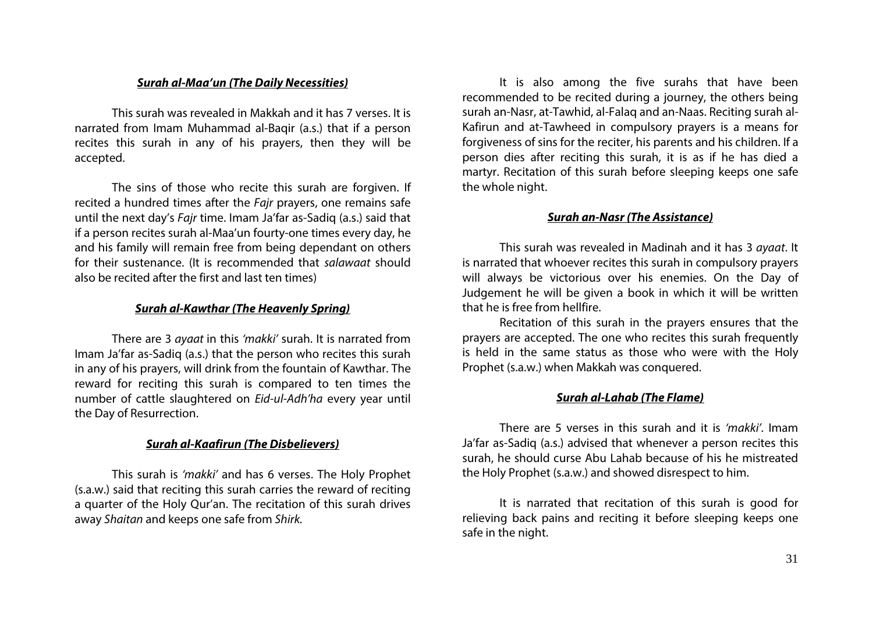## *Surah al-Maa'un (The Daily Necessities)*

This surah was revealed in Makkah and it has 7 verses. It is narrated from Imam Muhammad al-Baqir (a.s.) that if a person recites this surah in any of his prayers, then they will be accepted.

The sins of those who recite this surah are forgiven. If recited a hundred times after the *Fajr* prayers, one remains safe until the next day's *Fajr* time. Imam Ja'far as-Sadiq (a.s.) said that if a person recites surah al-Maa'un fourty-one times every day, he and his family will remain free from being dependant on others for their sustenance. (It is recommended that *salawaat* should also be recited after the first and last ten times)

# *Surah al-Kawthar (The Heavenly Spring)*

There are 3 *ayaat* in this *'makki'* surah. It is narrated from Imam Ja'far as-Sadiq (a.s.) that the person who recites this surah in any of his prayers, will drink from the fountain of Kawthar. The reward for reciting this surah is compared to ten times the number of cattle slaughtered on *Eid-ul-Adh'ha* every year until the Day of Resurrection.

## *Surah al-Kaafirun (The Disbelievers)*

This surah is *'makki'* and has 6 verses. The Holy Prophet (s.a.w.) said that reciting this surah carries the reward of reciting a quarter of the Holy Qur'an. The recitation of this surah drives away *Shaitan* and keeps one safe from *Shirk.*

It is also among the five surahs that have been recommended to be recited during a journey, the others being surah an-Nasr, at-Tawhid, al-Falaq and an-Naas. Reciting surah al-Kafirun and at-Tawheed in compulsory prayers is a means for forgiveness of sins for the reciter, his parents and his children. If a person dies after reciting this surah, it is as if he has died a martyr. Recitation of this surah before sleeping keeps one safe the whole night.

# *Surah an-Nasr (The Assistance)*

This surah was revealed in Madinah and it has 3 *ayaat*. It is narrated that whoever recites this surah in compulsory prayers will always be victorious over his enemies. On the Day of Judgement he will be given a book in which it will be written that he is free from hellfire.

Recitation of this surah in the prayers ensures that the prayers are accepted. The one who recites this surah frequently is held in the same status as those who were with the Holy Prophet (s.a.w.) when Makkah was conquered.

# *Surah al-Lahab (The Flame)*

There are 5 verses in this surah and it is *'makki'*. Imam Ja'far as-Sadiq (a.s.) advised that whenever a person recites this surah, he should curse Abu Lahab because of his he mistreated the Holy Prophet (s.a.w.) and showed disrespect to him.

It is narrated that recitation of this surah is good for relieving back pains and reciting it before sleeping keeps one safe in the night.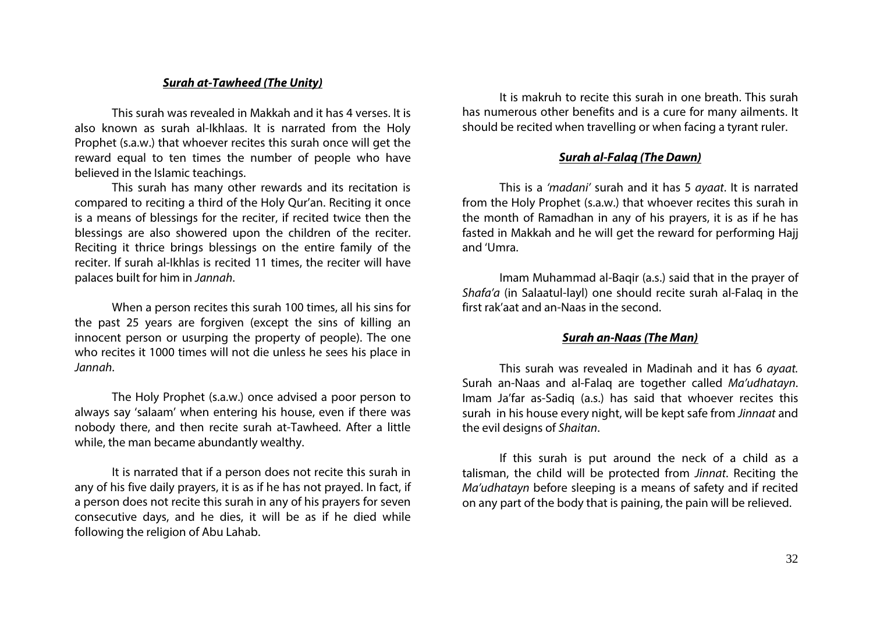### *Surah at-Tawheed (The Unity)*

This surah was revealed in Makkah and it has 4 verses. It is also known as surah al-Ikhlaas. It is narrated from the Holy Prophet (s.a.w.) that whoever recites this surah once will get the reward equal to ten times the number of people who have believed in the Islamic teachings.

This surah has many other rewards and its recitation is compared to reciting a third of the Holy Qur'an. Reciting it once is a means of blessings for the reciter, if recited twice then the blessings are also showered upon the children of the reciter. Reciting it thrice brings blessings on the entire family of the reciter. If surah al-Ikhlas is recited 11 times, the reciter will have palaces built for him in *Jannah*.

When a person recites this surah 100 times, all his sins for the past 25 years are forgiven (except the sins of killing an innocent person or usurping the property of people). The one who recites it 1000 times will not die unless he sees his place in *Jannah*.

The Holy Prophet (s.a.w.) once advised a poor person to always say 'salaam' when entering his house, even if there was nobody there, and then recite surah at-Tawheed. After a little while, the man became abundantly wealthy.

It is narrated that if a person does not recite this surah in any of his five daily prayers, it is as if he has not prayed. In fact, if a person does not recite this surah in any of his prayers for seven consecutive days, and he dies, it will be as if he died while following the religion of Abu Lahab.

It is makruh to recite this surah in one breath. This surah has numerous other benefits and is a cure for many ailments. It should be recited when travelling or when facing a tyrant ruler.

# *Surah al-Falaq (The Dawn)*

This is a *'madani'* surah and it has 5 *ayaat*. It is narrated from the Holy Prophet (s.a.w.) that whoever recites this surah in the month of Ramadhan in any of his prayers, it is as if he has fasted in Makkah and he will get the reward for performing Hajj and 'Umra.

Imam Muhammad al-Baqir (a.s.) said that in the prayer of *Shafa'a* (in Salaatul-layl) one should recite surah al-Falaq in the first rak'aat and an-Naas in the second.

### *Surah an-Naas (The Man)*

This surah was revealed in Madinah and it has 6 *ayaat.* Surah an-Naas and al-Falaq are together called *Ma'udhatayn*. Imam Ja'far as-Sadiq (a.s.) has said that whoever recites this surah in his house every night, will be kept safe from *Jinnaat* and the evil designs of *Shaitan*.

If this surah is put around the neck of a child as a talisman, the child will be protected from *Jinnat*. Reciting the *Ma'udhatayn* before sleeping is a means of safety and if recited on any part of the body that is paining, the pain will be relieved.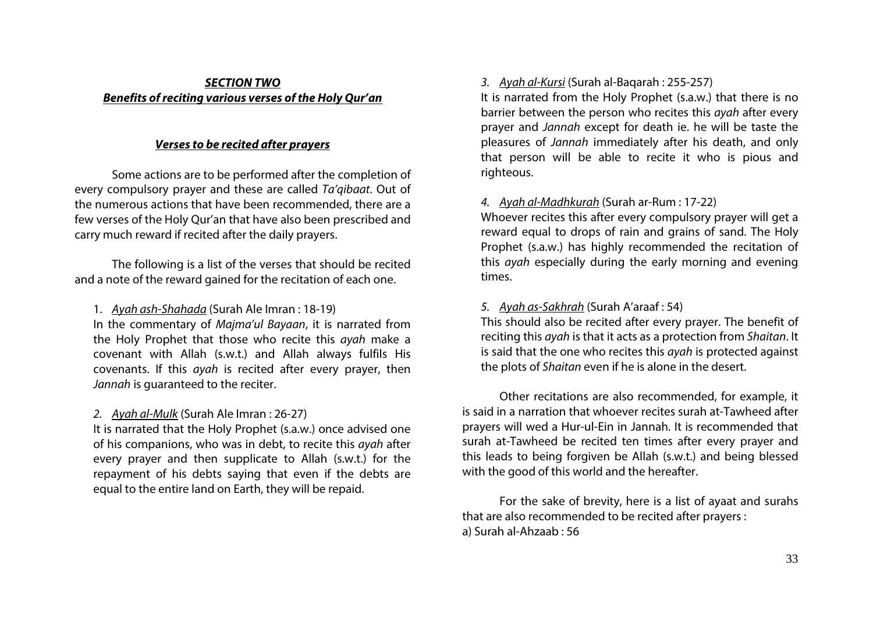# *SECTION TWO Benefits of reciting various verses of the Holy Qur'an*

# *Verses to be recited after prayers*

Some actions are to be performed after the completion of every compulsory prayer and these are called *Ta'qibaat*. Out of the numerous actions that have been recommended, there are a few verses of the Holy Qur'an that have also been prescribed and carry much reward if recited after the daily prayers.

The following is a list of the verses that should be recited and a note of the reward gained for the recitation of each one.

# 1. *Ayah ash-Shahada* (Surah Ale Imran : 18-19)

In the commentary of *Majma'ul Bayaan*, it is narrated from the Holy Prophet that those who recite this *ayah* make a covenant with Allah (s.w.t.) and Allah always fulfils His covenants. If this *ayah* is recited after every prayer, then *Jannah* is guaranteed to the reciter.

# *2. Ayah al-Mulk* (Surah Ale Imran : 26-27)

It is narrated that the Holy Prophet (s.a.w.) once advised one of his companions, who was in debt, to recite this *ayah* after every prayer and then supplicate to Allah (s.w.t.) for the repayment of his debts saying that even if the debts are equal to the entire land on Earth, they will be repaid.

# *3. Ayah al-Kursi* (Surah al-Baqarah : 255-257)

It is narrated from the Holy Prophet (s.a.w.) that there is no barrier between the person who recites this *ayah* after every prayer and *Jannah* except for death ie. he will be taste the pleasures of *Jannah* immediately after his death, and only that person will be able to recite it who is pious and righteous.

# *4. Ayah al-Madhkurah* (Surah ar-Rum : 17-22)

Whoever recites this after every compulsory prayer will get a reward equal to drops of rain and grains of sand. The Holy Prophet (s.a.w.) has highly recommended the recitation of this *ayah* especially during the early morning and evening times.

# *5. Ayah as-Sakhrah* (Surah A'araaf : 54)

This should also be recited after every prayer. The benefit of reciting this *ayah* is that it acts as a protection from *Shaitan*. It is said that the one who recites this *ayah* is protected against the plots of *Shaitan* even if he is alone in the desert.

Other recitations are also recommended, for example, it is said in a narration that whoever recites surah at-Tawheed after prayers will wed a Hur-ul-Ein in Jannah. It is recommended that surah at-Tawheed be recited ten times after every prayer and this leads to being forgiven be Allah (s.w.t.) and being blessed with the good of this world and the hereafter.

For the sake of brevity, here is a list of ayaat and surahs that are also recommended to be recited after prayers : a) Surah al-Ahzaab : 56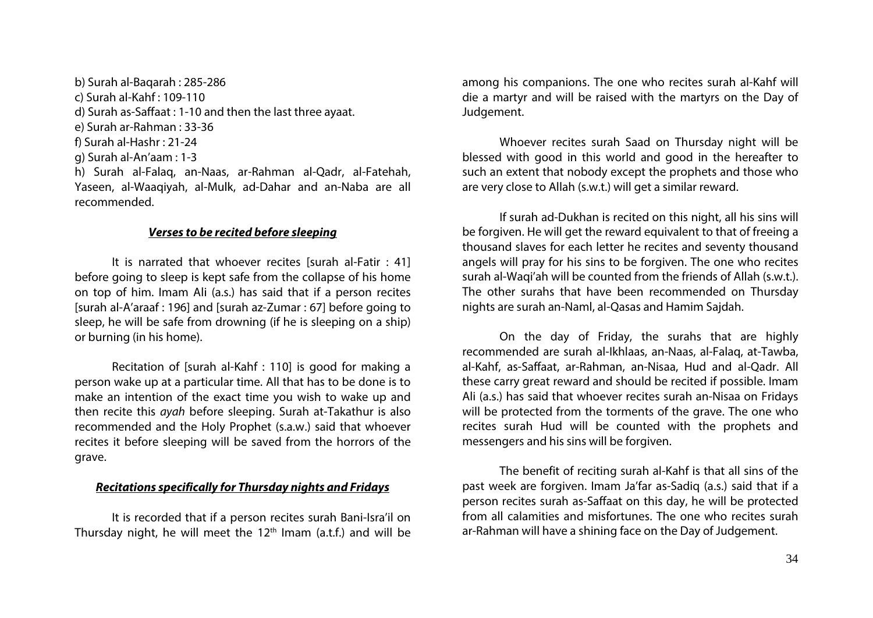b) Surah al-Baqarah : 285-286 c) Surah al-Kahf : 109-110 d) Surah as-Saffaat : 1-10 and then the last three ayaat. e) Surah ar-Rahman : 33-36 f) Surah al-Hashr : 21-24 g) Surah al-An'aam : 1-3 h) Surah al-Falaq, an-Naas, ar-Rahman al-Qadr, al-Fatehah,

Yaseen, al-Waaqiyah, al-Mulk, ad-Dahar and an-Naba are all recommended.

# *Verses to be recited before sleeping*

It is narrated that whoever recites [surah al-Fatir : 41] before going to sleep is kept safe from the collapse of his home on top of him. Imam Ali (a.s.) has said that if a person recites [surah al-A'araaf : 196] and [surah az-Zumar : 67] before going to sleep, he will be safe from drowning (if he is sleeping on a ship) or burning (in his home).

Recitation of [surah al-Kahf : 110] is good for making a person wake up at a particular time. All that has to be done is to make an intention of the exact time you wish to wake up and then recite this *ayah* before sleeping. Surah at-Takathur is also recommended and the Holy Prophet (s.a.w.) said that whoever recites it before sleeping will be saved from the horrors of the grave.

# *Recitations specifically for Thursday nights and Fridays*

It is recorded that if a person recites surah Bani-Isra'il on Thursday night, he will meet the  $12<sup>th</sup>$  Imam (a.t.f.) and will be among his companions. The one who recites surah al-Kahf will die a martyr and will be raised with the martyrs on the Day of Judgement.

Whoever recites surah Saad on Thursday night will be blessed with good in this world and good in the hereafter to such an extent that nobody except the prophets and those who are very close to Allah (s.w.t.) will get a similar reward.

If surah ad-Dukhan is recited on this night, all his sins will be forgiven. He will get the reward equivalent to that of freeing a thousand slaves for each letter he recites and seventy thousand angels will pray for his sins to be forgiven. The one who recites surah al-Waqi'ah will be counted from the friends of Allah (s.w.t.). The other surahs that have been recommended on Thursday nights are surah an-Naml, al-Qasas and Hamim Sajdah.

On the day of Friday, the surahs that are highly recommended are surah al-Ikhlaas, an-Naas, al-Falaq, at-Tawba, al-Kahf, as-Saffaat, ar-Rahman, an-Nisaa, Hud and al-Qadr. All these carry great reward and should be recited if possible. Imam Ali (a.s.) has said that whoever recites surah an-Nisaa on Fridays will be protected from the torments of the grave. The one who recites surah Hud will be counted with the prophets and messengers and his sins will be forgiven.

The benefit of reciting surah al-Kahf is that all sins of the past week are forgiven. Imam Ja'far as-Sadiq (a.s.) said that if a person recites surah as-Saffaat on this day, he will be protected from all calamities and misfortunes. The one who recites surah ar-Rahman will have a shining face on the Day of Judgement.